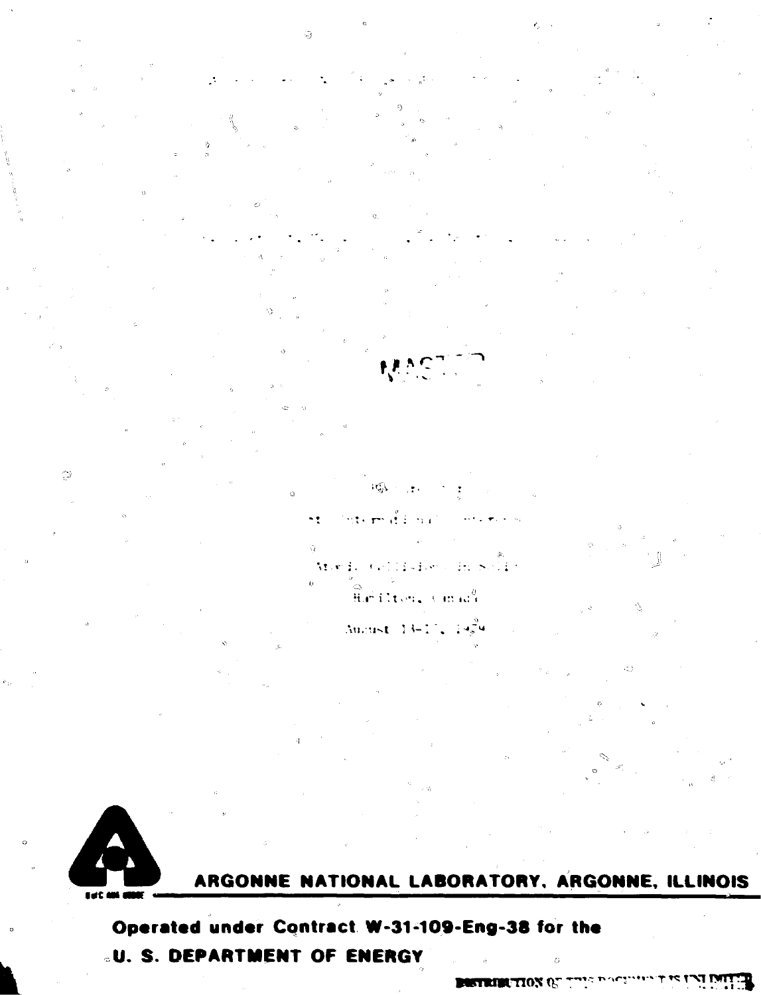

49

ARGONNE NATIONAL LABORATORY, ARGONNE, ILLINOIS

Operated under Contract W-31-109-Eng-38 for the *<b>LU. S. DEPARTMENT OF ENERGY* 

- पुरु

 $\sim$   $\tau$ 

stoe Eu

 $\mathcal{I} \subset \mathcal{I}$ 

in.

经公主公司

Hirilton, Cinadi

August 13-17, 19

Ø

<u>از که بل بروردگان به که</u> **BUSTRIBUTION OF**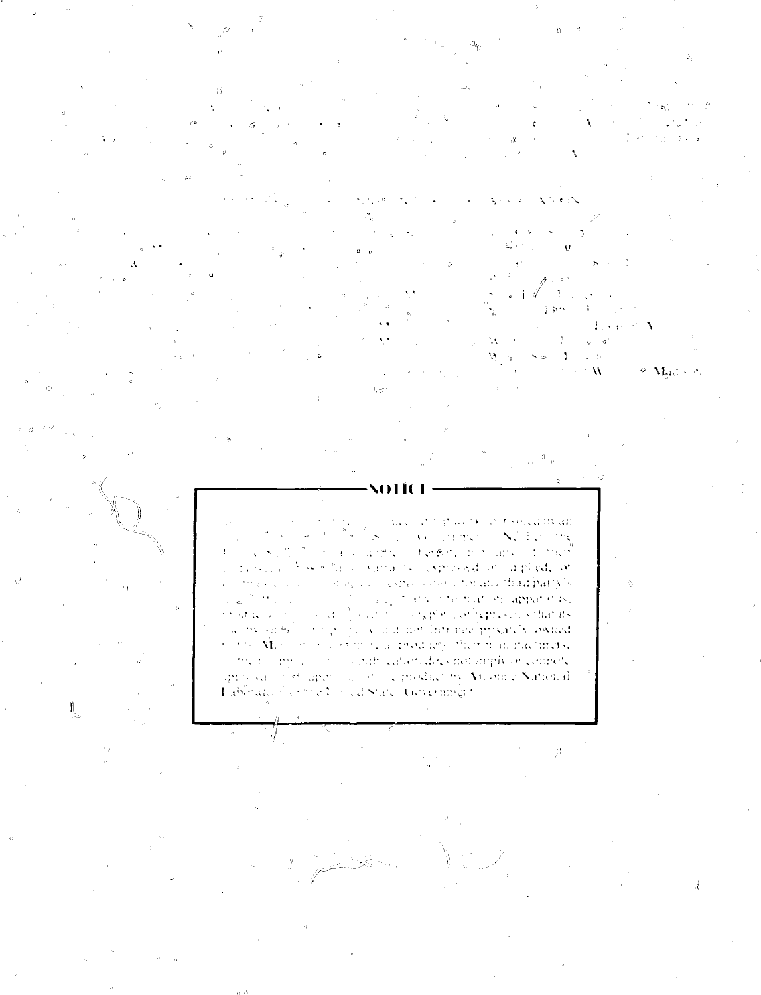$\Delta$  1-  $\sigma$  1  $\Delta$ ik e vitin c‰ ÷  $\ddot{u}$ தில -137  $-1 -$ 3,6%  $\mathcal{L}^{\pm}$  $\sim 10^6$ 

Louis CA Ŵ  $e^{-i\theta}$  .  $\theta$  $\sim$   $\infty$ ÷,  $\sim$  5  $\mathbf W$ 9 Mades

decision to a more in model of the an-<sup>2</sup> of 8 and Government NCEO the  $\sim$  $\frac{16}{4}$  .  $\hat{\omega}$ State of all angles terms and an of the  $\chi^2$ Ą. research for effect a sociality lespressed on implied, of as simply change in the property of the complex four and that  $\hat{\mathbf{p}}$  and  $\hat{\mathbf{v}}$ singleton virtuoniation apparatus,  $\label{eq:1.1} \frac{\partial \mathcal{L}_{\mathcal{A}}}{\partial \mathcal{L}_{\mathcal{A}}}\left(\frac{\partial \mathcal{L}_{\mathcal{A}}}{\partial \mathcal{L}_{\mathcal{A}}}\right)=\frac{\partial \mathcal{L}_{\mathcal{A}}}{\partial \mathcal{L}_{\mathcal{A}}}\left(\frac{\partial \mathcal{L}_{\mathcal{A}}}{\partial \mathcal{L}_{\mathcal{A}}}\right)$  $\frac{1}{2}$  is a contribution of the contribution of  $\frac{1}{2}$  is contributed by product that its security in the contribution of the maximum contribution of the property of the control of the control of the control of the of the too applied on a countrient caracteristic and implying controlled approjed in efficiency and in the product by Amorine National Laborato showned in ed States Government

**Repa**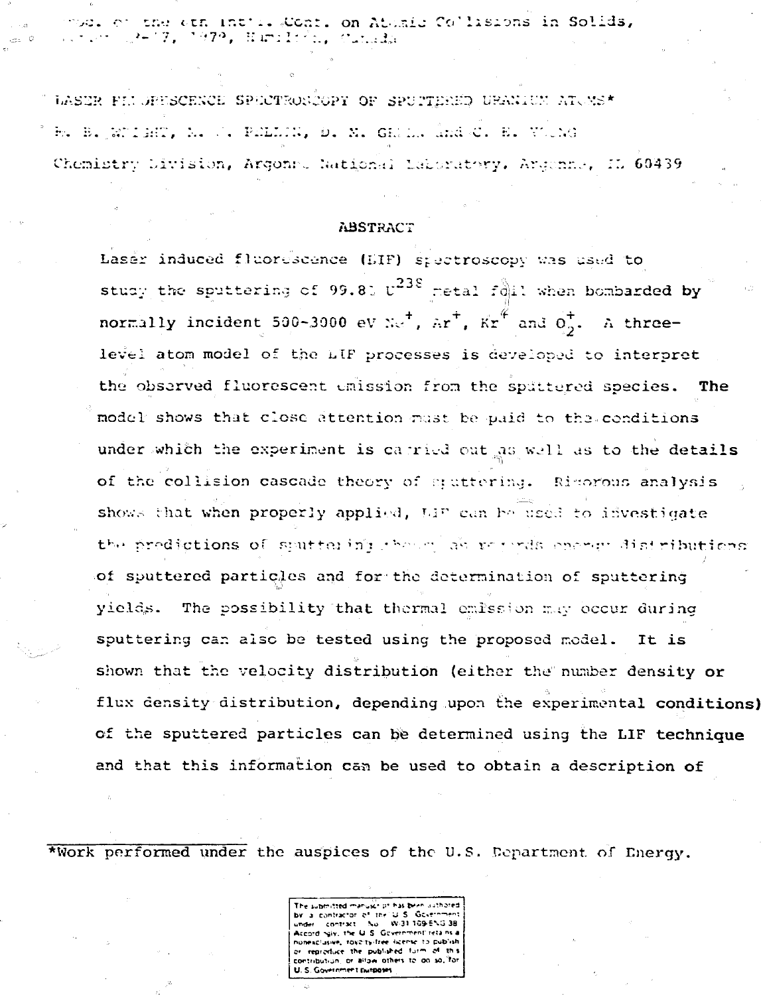mode of the oth intile Cont. on Atomic Collisions in Solids, 2417. 1979. Bariliša, Succela

LASER FELORESCENCE SPECTRONCOPY OF SPUTTERED URANIUM ATOMS\* B. B. Whient, M. J. PhLLIN, D. M. GRILL And C. E. Wilne Chemistry Livision, Argons, National Laboratory, Argonne, IL 60439

#### **ABSTRACT**

Laser induced fluorescence (EIF) spectroscopy was used to study the sputtering of 99.80 U<sup>238</sup> metal foil when bombarded by normally incident 500-3000 eV  $\pi r^+$ ,  $\pi r^+$ ,  $Kr^+$  and  $0^+$ . A threelevel atom model of the LIF processes is developed to interpret the observed fluorescent unission from the spättered species. The model shows that close attention must be paid to the conditions under which the experiment is carried out as well as to the details of the collision cascade theory of stattering. Rimorous analysis shows that when properly applied, LIP can be used to idvestigate the predictions of sputtering change as regards energy distributions of sputtered particles and for the determination of sputtering yields. The possibility that thermal emission may occur during sputtering can also be tested using the proposed model. It is shown that the velocity distribution (either the number density or flux density distribution, depending upon the experimental conditions) of the sputtered particles can be determined using the LIF technique and that this information can be used to obtain a description of

\*Work performed under the auspices of the U.S. Department of Energy.

The submitted manuscript has been usthored a contractor of the U.S. Government<br>ler : contract : Nu : W-31.109-ENG-38 **Constant** Accord saly, the U.S. Government retains a nonesclasive, rayalty-free iscense to publish or reproduce the published form of this contribution, or allow others to do so, for U.S. Government purposes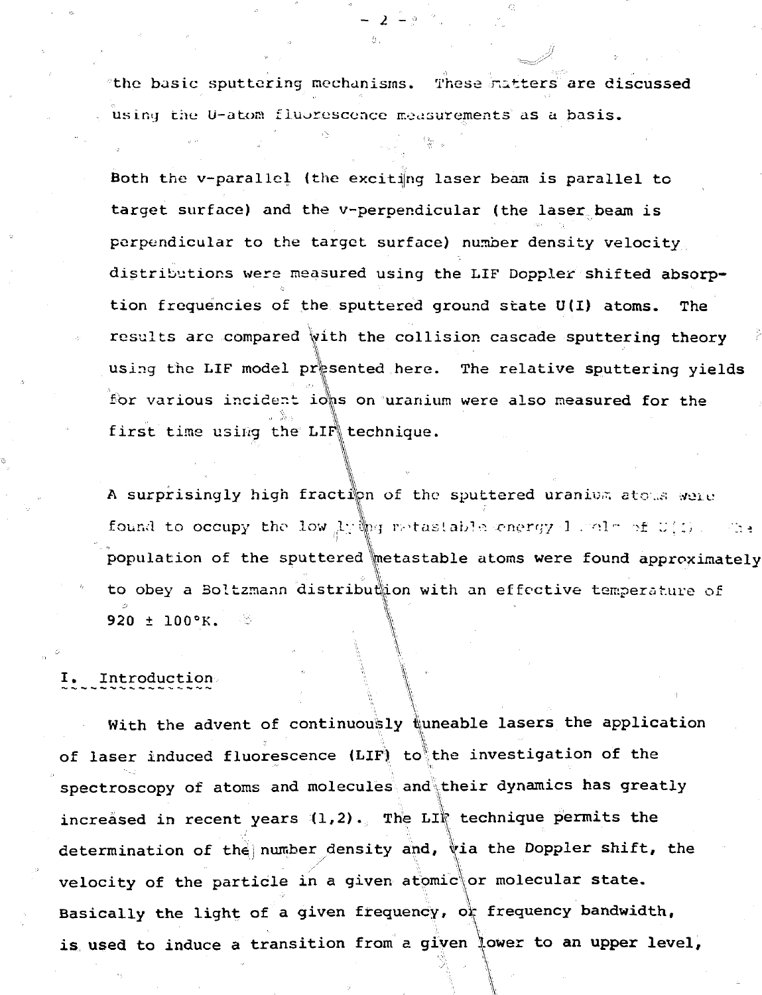the basic sputtering mechanisms. These natters are discussed using the U-atom fluorescence measurements as a basis.

- 2 -

Both the v-parallel (the exciting laser beam is parallel to target surface) and the v-perpendicular (the laser beam is perpendicular to the target surface) number density velocity distributions were measured using the LIF Doppler shifted absorption frequencies of the sputtered ground state U(I) atoms. The results are compared with the collision cascade sputtering theory using the LIF model presented here. The relative sputtering yields for various incident ions on uranium were also measured for the first time using the LIF technique.

A surprisingly high fraction of the sputtered uranium atous were found to occupy the low  $\frac{1}{2}$   $\frac{1}{2}$  if  $\frac{1}{2}$  onengy 1 .  $\frac{1}{2}$  of  $U(1)$  .  $\frac{1}{2}$ : population of the sputtered metastable atoms were found approximately to obey a Boitzmann distribution with an effective temperature of **I '**  $920 \pm 100$ °K.

### I. Introduction

With the advent of continuously  $\frac{1}{k}$ uneable lasers the application of laser induced fluorescence (LIF) to the investigation of the spectroscopy of atoms and molecules and their dynamics has greatly increased in recent years  $(1,2)$ . The LIF technique permits the determination of the number density and, via the Doppler shift, the velocity of the particle in a given atomic or molecular state. Basically the light of a given frequency, or frequency bandwidth, is used to induce a transition from a given lower to an upper level,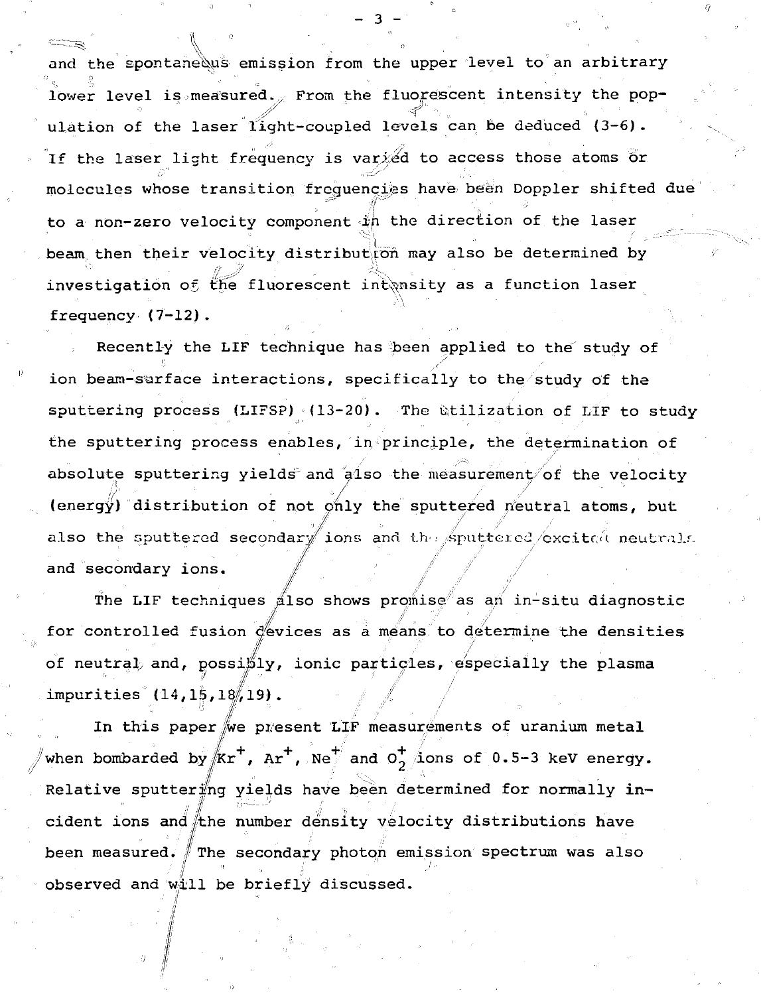and the spontane us emission from the upper level to an arbitrary lower level is measured. From the fluorescent intensity the population of the laser light-coupled levels can be deduced (3-6). If the laser light frequency is varied to access those atoms or molecules whose transition frequencies have been Doppler shifted due to a non-zero velocity component ifi the direction of the laser beam then their velocity distribution may also be determined by **'••• . i":' // ik** investigation of the fluorescent intensity as a function laser frequency (7-12).

- ^ ^ \ ° ' -.. " . ' . ' ' "

 $-$  3  $-$  ,  $\ldots$  ,  $\ldots$  ,  $\ldots$  ,  $\ldots$ 

Recently the LIF technique has been applied to the study of ion beam-sarface interactions, specifically to the study of the sputtering process (LIFSP)  $(13-20)$ . The utilization of LIF to study the sputtering process enables, in principle, the determination of absolute sputtering yields and also the measurement of the velocity **<sup>y</sup> / / •** (energy) distribution of not pnly the sputtered neutral atoms, but also the sputtered secondary ions and the sputtered excitation neutrals. and secondary ions.

The LIF techniques also shows promise as an in-situ diagnostic for controlled fusion devices as a means to determine the densities of neutral and, possibly, ionic particles, especially the plasma impurities  $(14, 15, 18, 19)$ .

In this paper we present LIF measurements of uranium metal when bombarded by  $/kr^+$ ,  $Ar^+$ ,  $Ne^+$  and  $O^+$  ions of 0.5-3 keV energy. Relative sputtering yields have been determined for normally incident ions and the number density velocity distributions have been measured. The secondary photon emission spectrum was also **•II " ' i** observed and will be briefly discussed.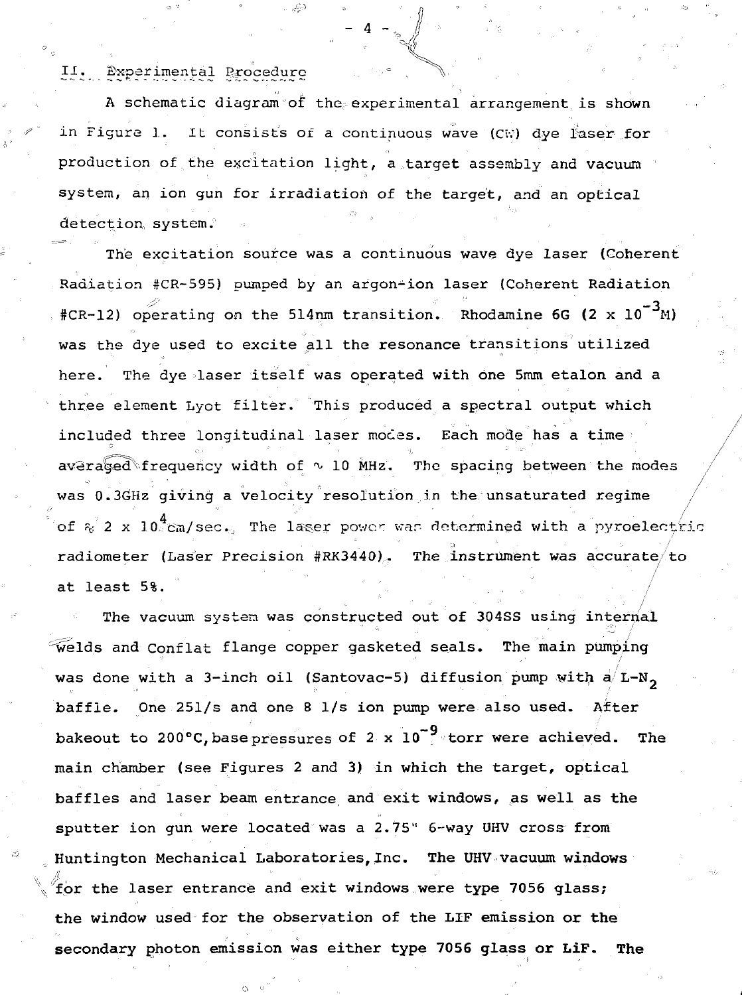II. Experimental Procedure

A schematic diagram of the experimental arrangement is shown in Figure 1. It consists of a continuous wave (CW) dye laser for production of the excitation light, a target assembly and vacuum system, an ion gun for irradiation of the target, and an optical detection, system.

• "<sup>4</sup> " M

ゆ

The excitation source was a continuous wave dye laser (Coherent Radiation #CR-595) pumped by an argon-ion laser (Coherent Radiation #CR-12) operating on the 514nm transition. Rhodamine 6G (2 x  $10^{-3}$ M) was the dye used to excite all the resonance transitions utilized here. The dye laser itself was operated with one 5mm etalon and a three element Lyot filter. This produced a spectral output which included three longitudinal laser modes. Each mode has a time averaged frequency width of  $\sim$  10 MHz. The spacing between the modes was 0.3GHz giving a velocity resolution in the unsaturated regime of  $\kappa^2$  2 x 10<sup>4</sup>cm/sec. The laser power was determined with a pyroelection radiometer (Laser Precision  $#RK3440$ ). The instrument was accurate/to radiometer (Laser Precision #RK3440)... The instrument was accurate/to

The vacuum system was constructed out of 304SS using internal  $\widetilde{\text{welds}}$  and Conflat flange copper gasketed seals. The main pumping was done with a 3-inch oil (Santovac-5) diffusion pump with  $a/L-N_n$ . baffle. One 251/s and one 8  $1/s$  ion pump were also used. After bakeout to 200°C, base pressures of 2 x  $10^{-9}$  torr were achieved. The main chamber (see Figures 2 and 3) in which the target, optical main chamber (see Figures 2 and 3) in which the target, optical sputter ion qun were located was a 2.75" 6-way UHV cross from sputter ion gun were located was a 2.75" 6-way UHV cross from Huntington Mechanical Laboratories, Inc. **The UHV vacuum windows** A the window used for the observation of the LIF emission or the secondary photon emission was either type 7056 glass or LiF. The

secondary photon emission was either type **7056 glass or LiF. The**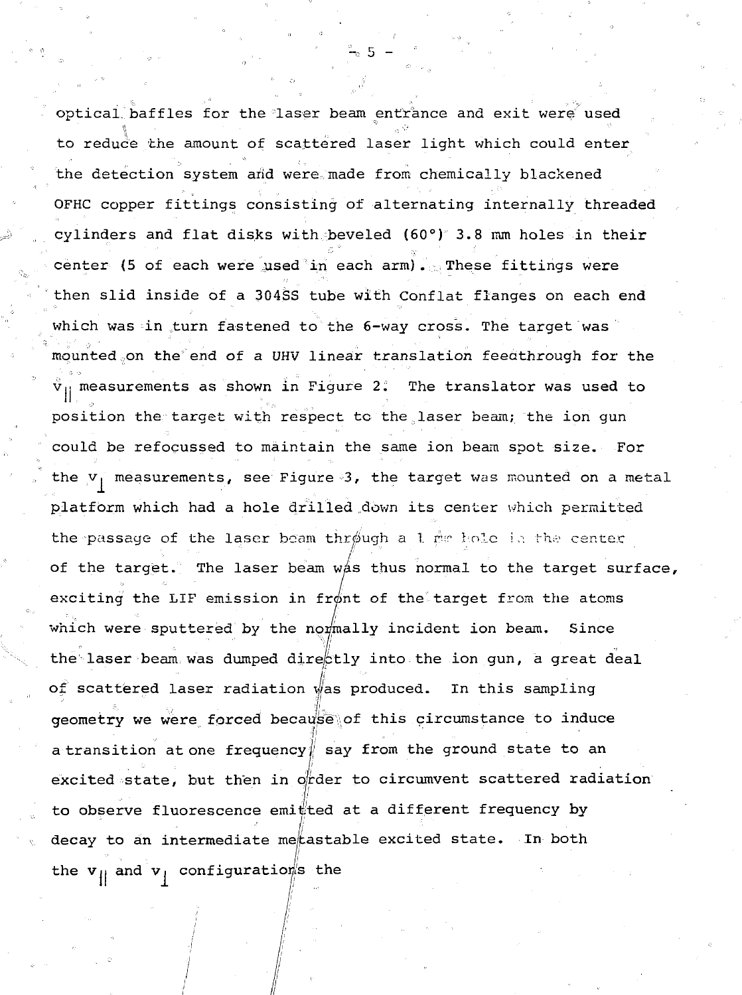optical baffles for the laser beam entrance and exit were used to reduce the amount of scattered laser light which could enter the detection system and were made from chemically blackened OFHC copper fittings consisting of alternating internally threaded cylinders and flat disks with beveled  $(60°)°$  3.8 mm holes in their center (5 of each were used in each arm). These fittings were then slid inside of a 304SS tube with Conflat flanges on each end which was in turn fastened to the 6-way cross. The target was mounted on the end of a UHV linear translation feedthrough for the  $\hat{\mathtt{v}}_{11}$  measurements as shown in Figure 2. The translator was used to position the target with respect to the laser beam; the ion gun could be refocussed to maintain the same ion beam spot size. For the  $v_1$  measurements, see Figure 3, the target was mounted on a metal platform which had a hole drilled .down its center which permitted the passage of the laser beam through a 1 mg hole in the center of the target. The laser beam was thus normal to the target surface, exciting the LIF emission in front of the target from the atoms which were sputtered by the normally incident ion beam. Since the laser beam was dumped directly into the ion gun, a great deal of scattered laser radiation was produced. In this sampling geometry we were forced because\of this circumstance to induce entral de la componentación de la componentación de la componentación de la componentación de la componentació a transition atone frequency $\sharp$  say from the ground state to an excited state, but then in order to circumvent scattered radiation to observe fluorescence emitted at a different frequency by decay to an intermediate me/tastable excited state. In both the  $v_{ij}$  and  $v_{ij}$  configurations the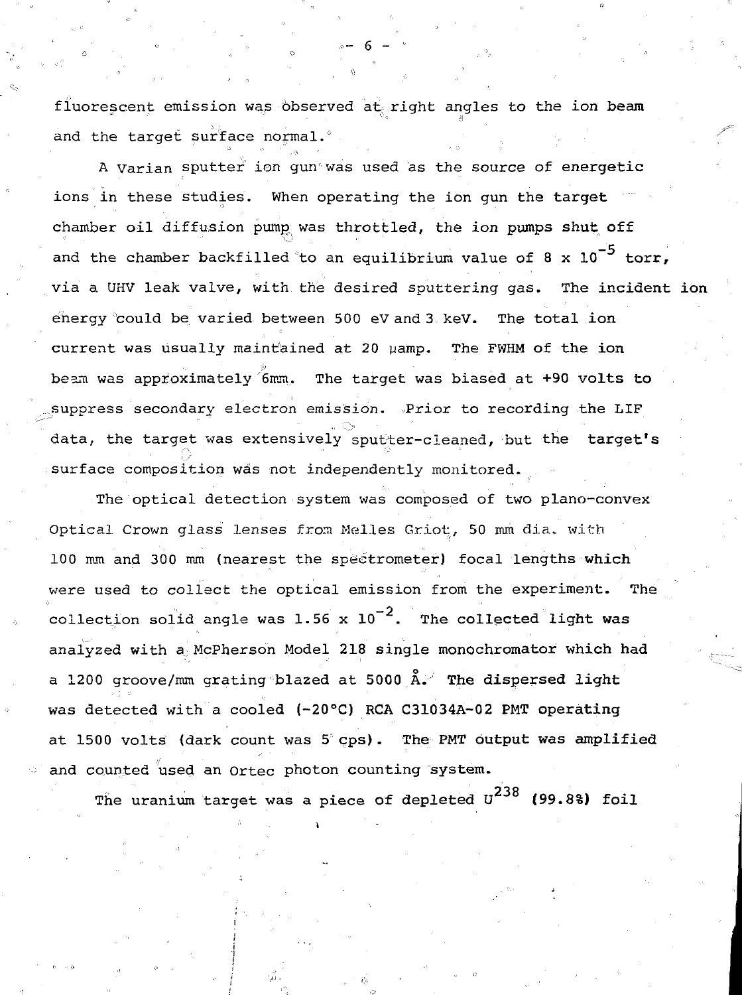fluorescent emission was observed at right angles to the ion beam and the target surface normal.<sup>0</sup>

A Varian sputter ion qun was used as the source of energetic ions in these studies. When operating the ion gun the target chamber oil diffusion pump was throttled, the ion pumps shut off and the chamber backfilled to an equilibrium value of 8 x  $10^{-5}$  torr. via a UHV leak valve, with the desired sputtering gas. The incident ion energy 'could be varied between 500 eV and 3 keV. The total ion current was usually maintained at 20 µamp. The FWHM of the ion beam was approximately '6mm. The target was biased at +90 volts to suppress secondary electron emission. Prior to recording the LIF data, the target was extensively sputter-cleaned, but the target's surface composition was not independently monitored.

The optical detection system was composed of two plano-convex Optical Crown glass lenses from Welles Griot, 50 mm dia,. with 100 mm and 300 mm (nearest the spectrometer) focal lengths which were used to collect the optical emission from the experiment. The collection solid angle was 1.56 x  $10^{-2}$ . The collected light was analyzed with a McPherson Model 218 single monochromator which had a 1200 groove/mm grating blazed at 5000  $\AA$ . The dispersed light was detected with a cooled (-20°C) RCA C31034A-02 PMT operating at 1500 volts (dark count was 5 cps). The PMT output was amplified and counted used an Ortec photon counting system.

 $\alpha$  and  $\alpha$  is defined used an Ortec photon counting system. The uranium target was a piece of dependence of dependence of dependence of  $\mathcal{N}$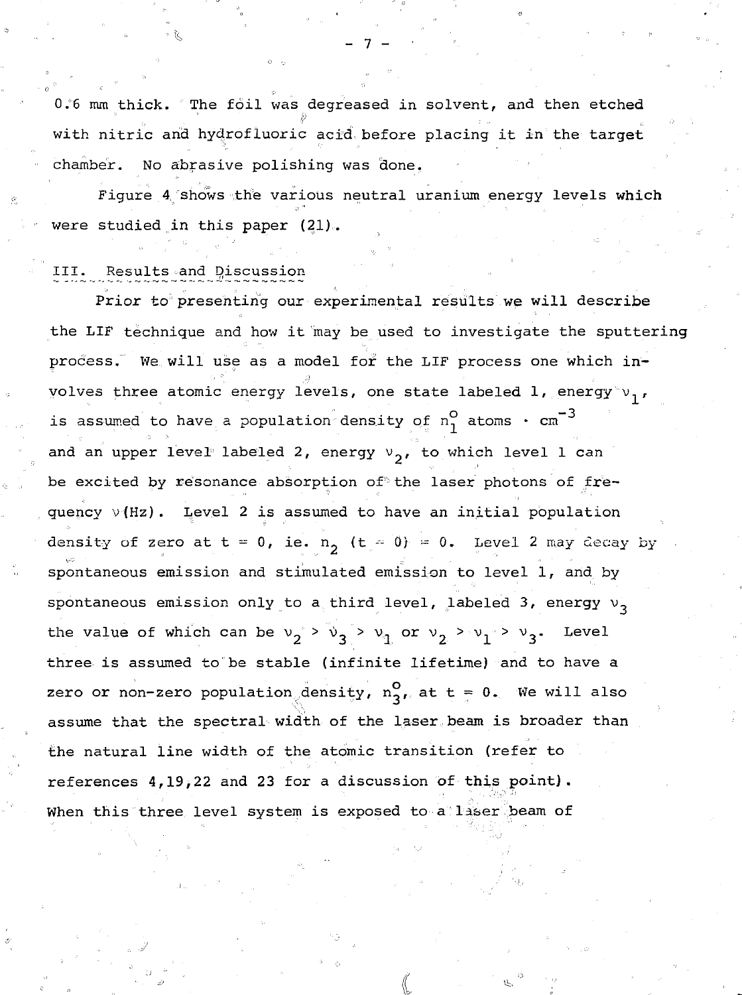0.6 mm thick. The foil was degreased in solvent, and then etched with nitric and hydrofluoric acid before placing it in the target chamber. No abrasive polishing was done,

Figure 4 shows the various neutral uranium energy levels which were studied in this paper (21)...

#### III. Results and Discussion

Prior to presenting our experimental results we will describe the LIF technique and how it may be used to investigate the sputtering process. We will use as a model for the LIF process one which involves three atomic energy levels, one state labeled 1, energy  $v_1$ , is assumed to have a population density of  $n_1^O$  atoms  $\cdot$  cm<sup>-3</sup> and an upper level labeled 2, energy  $v_2$ , to which level 1 can be excited by resonance absorption of the laser photons of frequency  $v(Hz)$ . Level 2 is assumed to have an initial population density of zero at t = 0, ie. n<sub>2</sub> (t - 0) = 0. Level 2 may decay by spontaneous emission and stimulated emission to level 1, and by spontaneous emission only to a third level, labeled 3, energy  $v_2$ the value of which can be  $v_2 > v_3 > v_1$  or  $v_2 > v_1 > v_3$ . Level three is assumed to be stable (infinite lifetime) and to have a zero or non-zero population density,  $n_{21}^{\circ}$  at t = 0. We will also assume that the spectral width of the laser beam is broader than the natural line width of the atomic transition (refer to references 4,19,22 and 23 for a discussion of this point). When this three level system is exposed to a liser beam of

- 7 -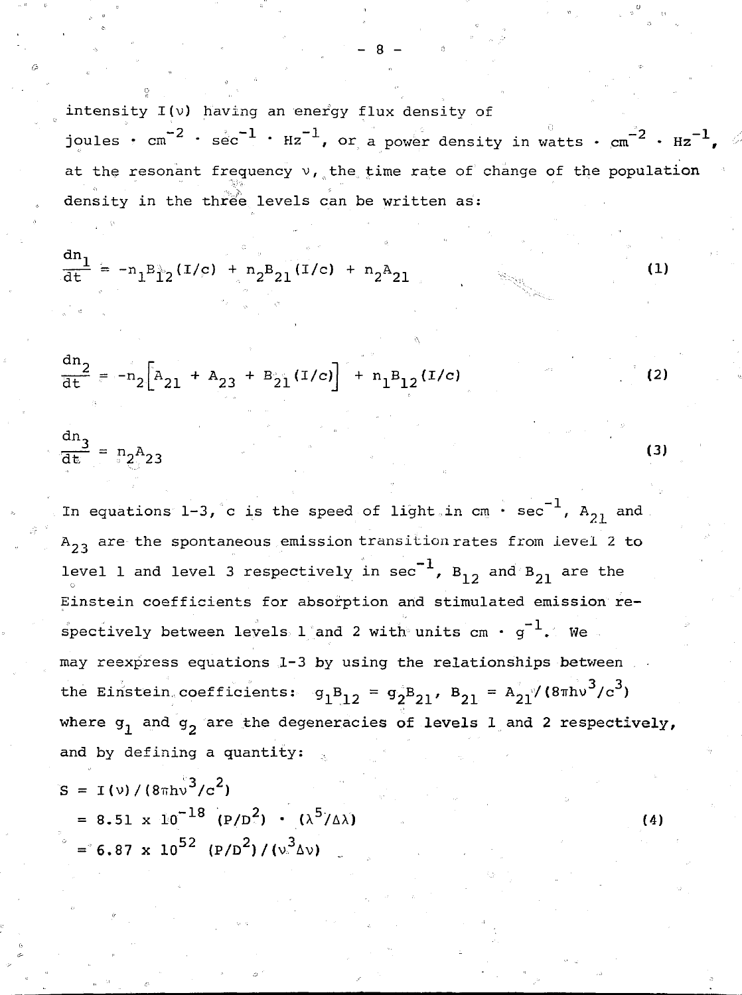intensity I(v) having an energy flux density of joules •  $cm^{-2}$  •  $sec^{-1}$  •  $Hz^{-1}$ , or a power density in watts •  $cm^{-2}$  •  $Hz^{-1}$ ,  $\varnothing$ at the resonant frequency  $v_{\ell}$ , the time rate of change of the population density in the three levels can be written as:

$$
\frac{dn_1}{dt} = -n_1B_{12}^+(I/c) + n_2B_{21}(I/c) + n_2A_{21}
$$

$$
\frac{dn_2}{dt} = -n_2 \left[ A_{21} + A_{23} + B_{21} (I/c) \right] + n_1 B_{12} (I/c)
$$

$$
\frac{dn_3}{dt} = n_2 A_{23}
$$
 (3)

In equations 1-3, c is the speed of light in cm  $\cdot$  sec<sup>-1</sup>, A<sub>21</sub> and  $A_{23}$  are the spontaneous emission transition rates from level 2 to level 1 and level 3 respectively in sec<sup>-1</sup>, B<sub>12</sub> and B<sub>21</sub> are the Einstein coefficients for absorption and stimulated emission respectively between levels 1 and 2 with units  $cm \cdot g^{-1}$ . We may reexpress equations 1-3 by using the relationships between the Einstein coefficients:  $g_1B_{12} = g_2B_{21}$ ,  $B_{21} = A_{21} / (8 \pi h v^3/c^3)$ where  $g_1$  and  $g_2$  are the degeneracies of levels  $1$  and 2 respectively, and by defining a quantity:

$$
S = I(v)/(8\pi h v^{3}/c^{2})
$$
  
= 8.51 x 10<sup>-18</sup> (P/D<sup>2</sup>) · (λ<sup>5</sup>/Δλ)  
= 6.87 x 10<sup>52</sup> (P/D<sup>2</sup>)/(v<sup>3</sup>Δν) (4)

 $(1)$ 

 $(2)$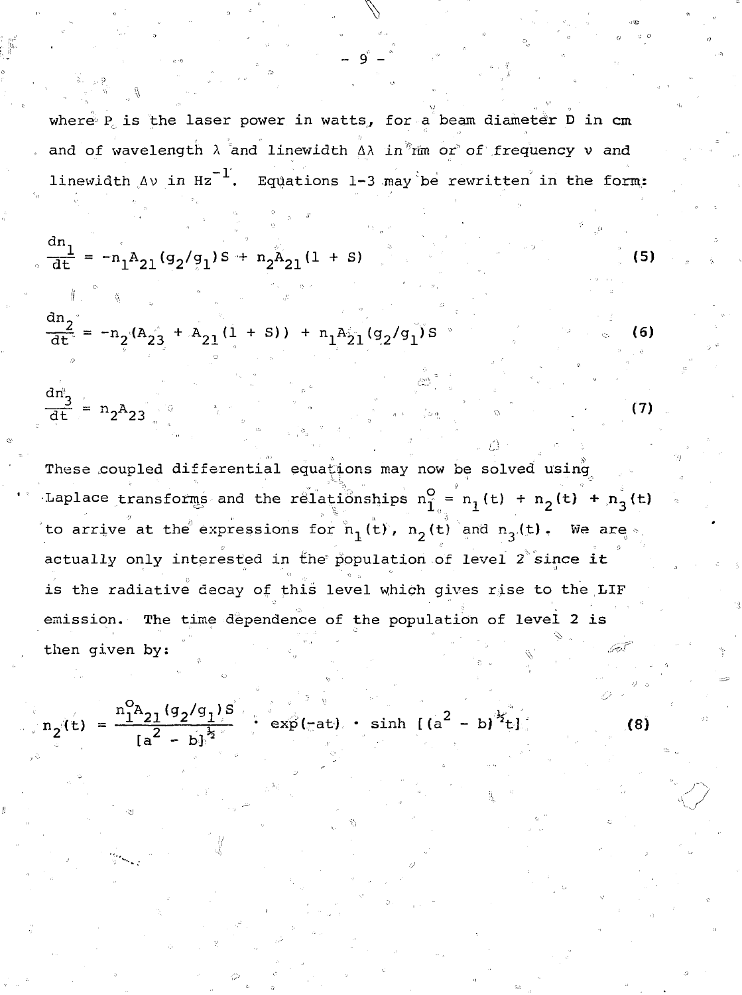where  $P_c$  is the laser power in watts, for a beam diameter  $\rho$  in cm and of wavelength  $\lambda$  and linewidth  $\Delta\lambda$  in  $\lim_{n \to \infty}$  of frequency  $\nu$  and linewidth  $\Delta v$  in Hz<sup>-1</sup>. Equations 1-3 may be rewritten in the form:

 $\sqrt{2}$ 

- 9 -

$$
\frac{dn_1}{dt} = -n_1 A_{21} (g_2 / g_1) S + n_2 A_{21} (1 + S)
$$
\n
$$
\frac{dn_2}{dt} = -n_2 (A_{21} + A_{21} (1 + S)) + n_1 A_{21} (g_2 / g_1) S
$$
\n(5)

 $\frac{\text{cm}}{3}$  , , , ,  $\overline{d}t$  =  $n_2A_2$ 

These coupled differential equations may now be solved using Laplace transforms and the relationships  $n_1^0 = n_1(t) + n_2(t) + n_3(t)$ to arrive at the expressions for  $n_1(t)$ ,  $n_2(t)$  and  $n_3(t)$ . We are. actually only interested in the population of level  $2^{\circ}$  since it is the radiative decay of this level which gives rise to the LIF emission. The time dependence of the population of level 2 is then given by:

$$
n_2(t) = \frac{n_1^0 a_{21} (g_2 / g_1) s}{[a^2 - b]^{b_2}} \qquad \text{exp}(-at) \qquad \sinh \left[ (a^2 - b)^{b_2^0} t \right]
$$

 $(7)$ 

*<sup>2</sup>t]* (8)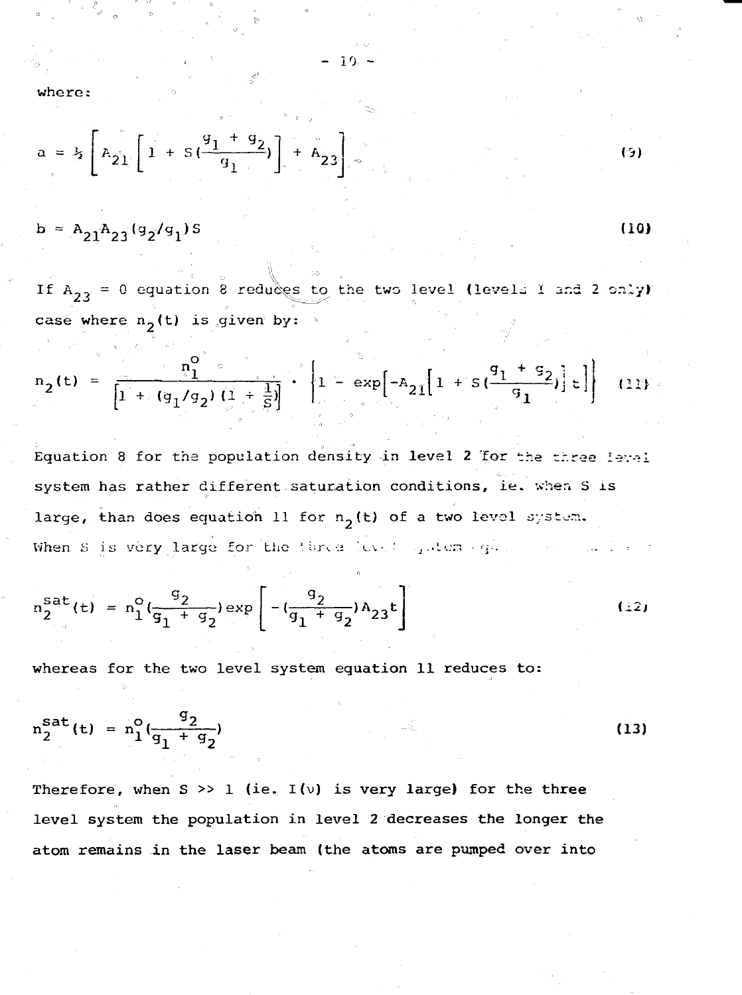where:

$$
a = \frac{1}{2} \left[ R_{21} \left[ 1 + S \left( \frac{g_1 + g_2}{g_1} \right) \right] + R_{23} \right]
$$
 (3)

$$
b = A_{21}A_{23}(g_2/g_1)S
$$

If  $A_{22} = 0$  equation 8 reduces to the two level (levels I and 2 only) case where  $n_2(t)$  is given by:

(10)

$$
n_2(t) = \frac{n_1^0}{\left[1 + (g_1/g_2)\left(1 + \frac{1}{S}\right)\right]} \cdot \left[1 - \exp\left[-A_{21}\left[1 + s\left(\frac{g_1 + g_2}{g_1}\right)\right] \epsilon\right]\right]
$$
 (11)

Equation 8 for the population density in level 2 for the three Ievel system has rather different saturation conditions, ie. when S is large, than does equation 11 for  $n_2(t)$  of a two level system. When S is very large for the three level quiters (q).

$$
n_2^{Sat}(t) = n_1^o \left( \frac{q_2}{q_1 + q_2} \right) \exp \left[ -(\frac{q_2}{q_1 + q_2}) A_{23} t \right]
$$
 (12)

whereas for the two level system **equation 11 reduces to:**

$$
n_2^{Sat}(t) = n_1^0(\frac{q_2}{q_1 + q_2})
$$
 (13)

**Therefore, when S >> 1 (ie. I(v) is very large) for the three level system the population in level 2 decreases the longer the atom remains in the laser beam (the atoms are pumped over into**

10 -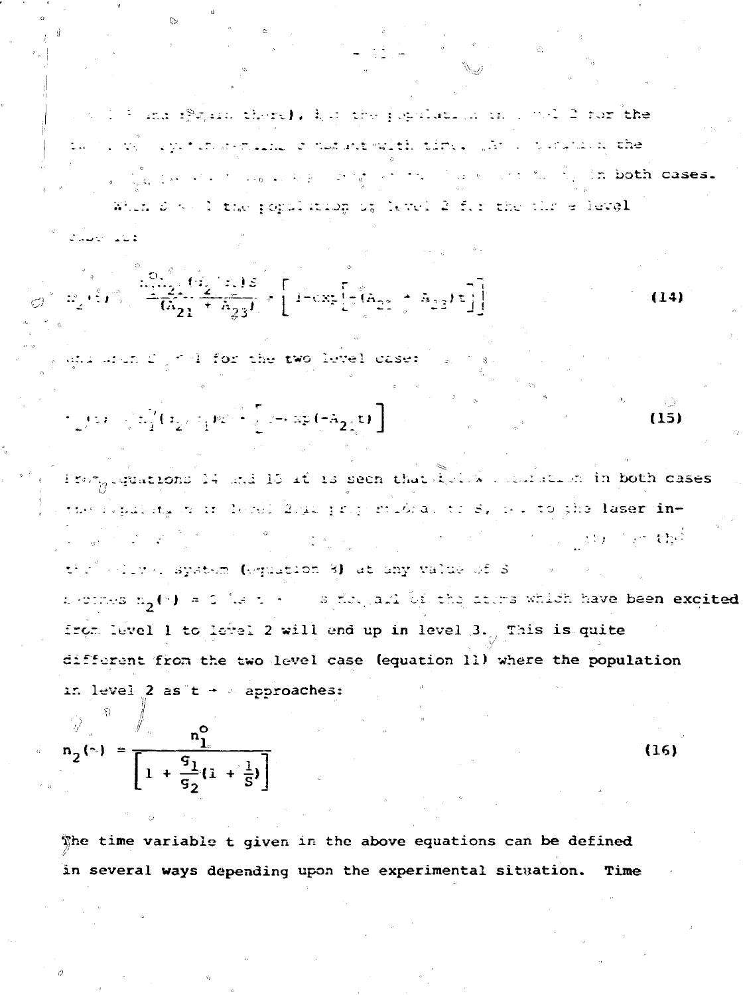which is and if rain there), her the population in 1 and 2 for the the secret operations are constructed that with a templant the a sign is the conservation of the state of the state of the sign in both cases. Whin S K. I the population of level 2 for the thr e level

$$
\left[\frac{10\sqrt{2}}{6} \left(\frac{d_2}{2} + \frac{1}{6} \frac{1}{23}\right) \times \left[1 - \exp\left[\frac{1}{2} \left(6 \frac{1}{2} \frac{1}{2} + \frac{5}{6} \frac{1}{23}\right) \right]\right] \right]
$$
(14)

, quantum  $\mathcal{L}_{\mathcal{A}}$  of  $4$  for the two level case:  $\mathcal{L}_{\mathcal{A}}$ 

$$
\int_{\mathbb{R}^2} f(x) \, \, \int_{\mathbb{R}^2} \frac{1}{2} \int_{\mathbb{R}^2} \Big( x \frac{1}{2} \, x + \frac{1}{2} \, \mathfrak{p} x \Big)^{\frac{1}{2}} \, x + \frac{1}{2} \, \mathfrak{p} \left( - A \frac{1}{2} \frac{1}{2} \frac{1}{2} \right) \, \mathfrak{p} \Big( x + \frac{1}{2} \frac{1}{2} \frac{1}{2} \frac{1}{2} \frac{1}{2} \Big) \, \mathfrak{p} \Big( x + \frac{1}{2} \frac{1}{2} \frac{1}{2} \frac{1}{2} \frac{1}{2} \frac{1}{2} \frac{1}{2} \frac{1}{2} \Big) \, \mathfrak{p} \Big( x + \frac{1}{2} \frac{1}{2} \frac{1}{2} \frac{1}{2} \frac{1}{2} \frac{1}{2} \frac{1}{2} \frac{1}{2} \frac{1}{2} \Big) \, \mathfrak{p} \Big( x + \frac{1}{2} \frac{1}{2} \frac{1}{2} \frac{1}{2} \frac{1}{2} \frac{1}{2} \frac{1}{2} \frac{1}{2} \frac{1}{2} \Big) \, \mathfrak{p} \Big( x + \frac{1}{2} \frac{1}{2} \frac{1}{2} \frac{1}{2} \frac{1}{2} \frac{1}{2} \frac{1}{2} \frac{1}{2} \frac{1}{2} \Big) \, \mathfrak{p} \Big( x + \frac{1}{2} \frac{1}{2} \frac{1}{2} \frac{1}{2} \frac{1}{2} \frac{1}{2} \frac{1}{2} \frac{1}{2} \frac{1}{2} \frac{1}{2} \frac{1}{2} \frac{1}{2} \frac{1}{2} \frac{1}{2} \frac{1}{2} \frac{1}{2} \frac{1}{2} \frac{1}{2} \frac{1}{2} \frac{1}{2} \frac{1}{2} \frac{1}{2} \frac{1}{2} \frac{1}{2} \frac{1}{2} \frac{1}{2} \frac{1}{2} \frac{1}{2} \frac{1}{2} \frac{1}{2} \frac{1}{2} \frac{1}{2} \frac{1}{2} \frac{1}{2} \frac
$$

Promplegations 14 and 15 if is seen that block with state in both cases the repulsion in level 2sis proportions, to sy is to the laser in- $\sim$  and  $\sim$  the  $^2$ a na matang the solens system (equation 3) at any value of 3 nectives n<sub>o</sub>(v) = 0 is t + = s flow, and by the atoms which have been excited from level 1 to level 2 will end up in level 3., This is quite different from the two level case (equation 11) where the population in level 2 as  $t + 1$  approaches:

$$
n_2(\gamma) = \frac{n_1^0}{\left[1 + \frac{q_1}{q_2}(1 + \frac{1}{5})\right]}
$$

فالكف المحلكات

 $\frac{1}{2}$   $\frac{1}{2}$   $\frac{1}{2}$   $\frac{1}{2}$   $\frac{1}{2}$ 

The time variable t given in the above equations can be defined in several ways depending upon the experimental situation. Time

 $(16)$ 

 $(15)$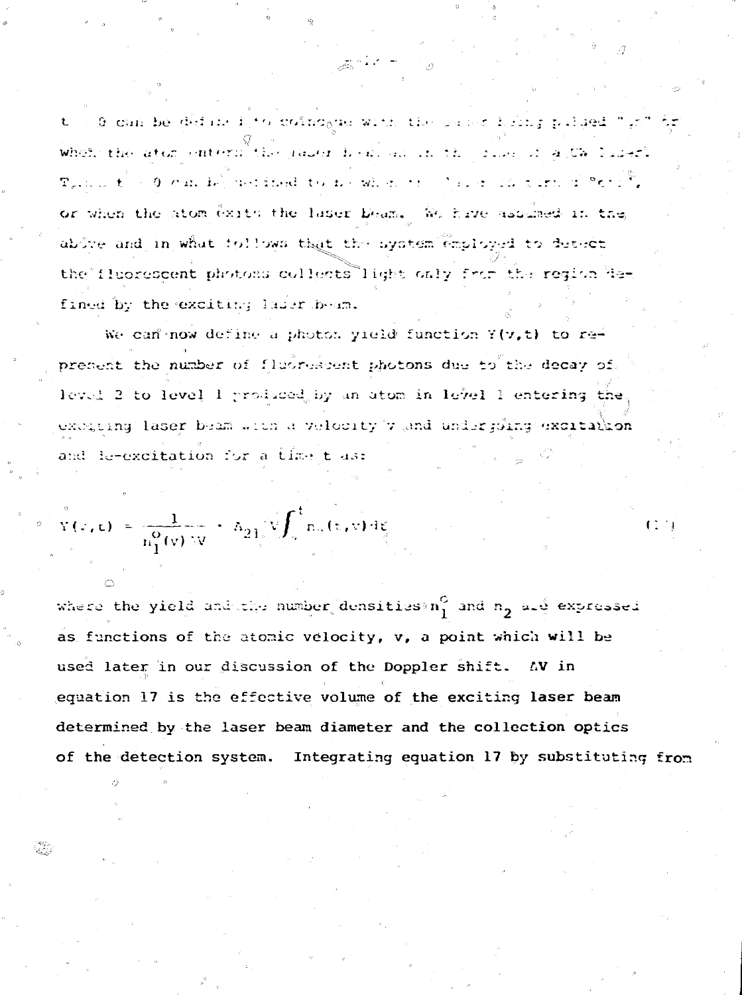t = 0 can be define i to coincome with the passe here pelegal " gil where the atom enters the passer book as in the side of a Ca Conservation  $\mathcal{R}_{\sigma}$ , and  $\mathcal{C} \geq 0$  and  $\mathcal{D}_{\sigma}$  are independent on the school of  $\mathcal{C}_{\sigma}$  . The contribution of  $\mathcal{C}_{\sigma}$  ,  $\mathcal{C}_{\sigma}$ or when the atom exits the laser beam. We have assumed in the above and in what follows that the system employed to detact the fluorescent photons collects light only from the region Ham fined by the exciting lader beam.

We can now define a photon yield function Y(v,t) to represent the number of fluorescent photons due to the decay of. level 2 to level 1 produced by an atom in level 1 entering the excepting laser beam with a velocity v and undergoing excitation and de-excitation for a time t as:

$$
Y(x,t) = \frac{1}{n_1^0(v) \, W} + \, h_{21} \sqrt[n]{\int_v^t} n_2(v,v) \, dv
$$

where the yield and the number densities  $n_1^G$  and  $n_2$  ald expressed as functions of the atomic velocity, v, a point which will be used later in our discussion of the Doppler shift. AV in equation 17 is the effective volume of the exciting laser beam determined by the laser beam diameter and the collection optics of the detection system. Integrating equation 17 by substituting from

 $\overline{111}$ 

Q.,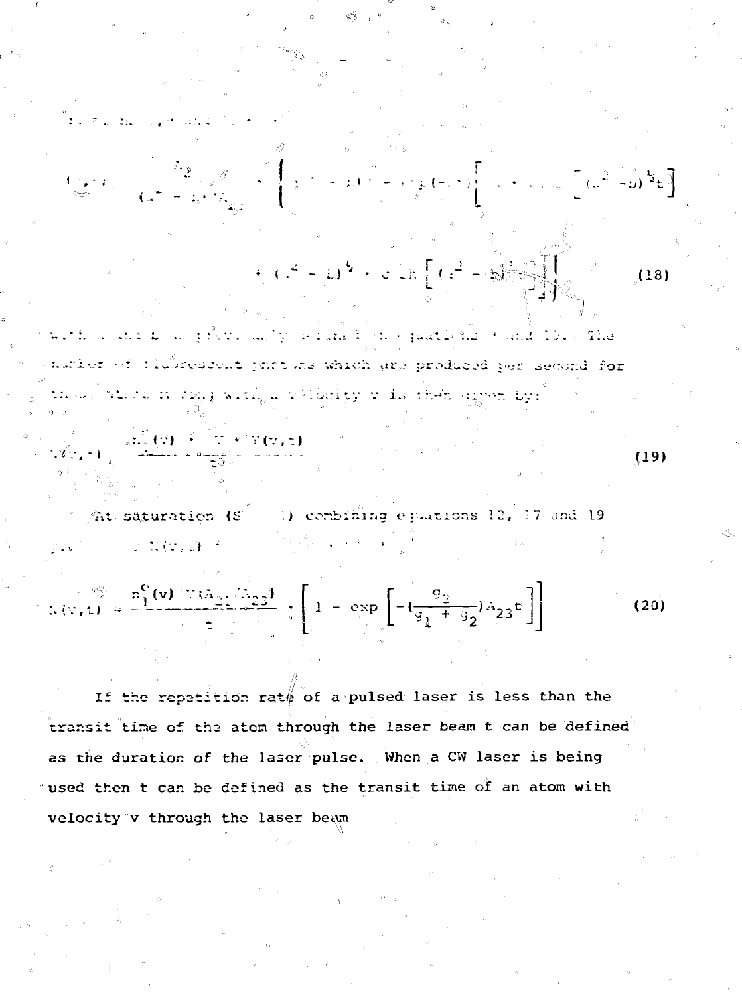$$
+\left(1-\omega^{2}+c\right)\pi\left[1+\frac{c}{c^{2}}\right] - \frac{c}{2}\pi\left[1-\frac{c}{c^{2}}\right]
$$
 (18)

 $\left\{ \sup_{x \in \mathbb{R}^3} \{ -\omega^2 \} \right\} = \left\{ \left\{ -\frac{1}{2} \right\} \left( 1 - \frac{1}{2} \right) \right\} \left\{ \frac{1}{2} \right\}$ 

is still be set of Although to a parallel the quater has it and "I Go." - The nurler of timbresent photons which any produced per second for thul star mrzy, wrigi vibelty v is then spen był

 $\begin{array}{l} \begin{array}{c} \frac{\partial}{\partial x} \left( \left( x \right) \right) \rightarrow \frac{\partial}{\partial x} \left( x \right) \in \mathbb{R} \left( x \right) \in \mathbb{R} \end{array} \\ \begin{array}{c} \frac{\partial}{\partial x} \left( x \right) \rightarrow \frac{\partial}{\partial x} \left( x \right) \in \mathbb{R} \end{array} \end{array}$ 

 $\frac{1}{2}$  at saturation (S  $\frac{1}{2}$  ) combining equations 12, 17 and 19 an Carlos - 2007年4月1日 y.

$$
\therefore \langle \nabla, z \rangle = \frac{n_1^C(v) \cdot \langle \nabla a_2 \rangle / (n_2^2)}{z} ; \left[ 1 - \exp \left[ -(\frac{g_2}{g_1 + g_2}) n_{23} z \right] \right]
$$
 (20)

If the repetition rate of a pulsed laser is less than the transit time of the atom through the laser beam t can be defined as the duration of the laser pulse. When a CW laser is being used then t can be defined as the transit time of an atom with velocity v through the laser beam

 $(19)$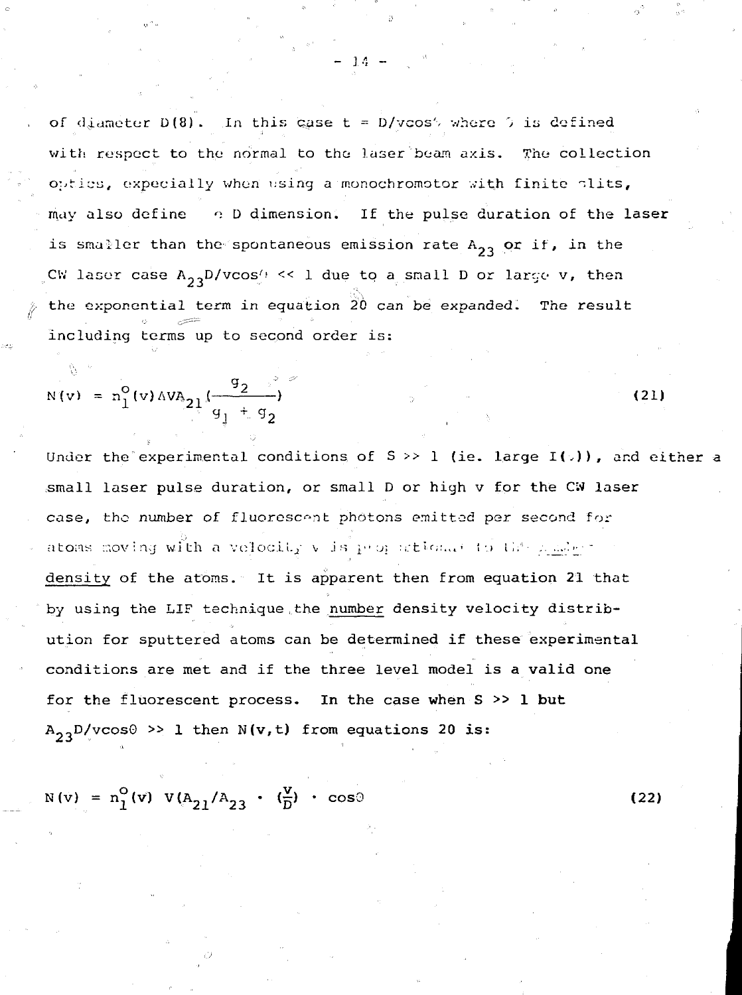of diameter  $D(8)$ . In this case t =  $D/vcos'$  where 0 is defined with respect to the normal to the laser beam axis. The collection  $o$ ;tics, expecially when using a monochromotor with finite  $\n$ lits, may also define  $\alpha$  D dimension. If the pulse duration of the laser is smaller than the spontaneous emission rate  $A_{23}$  or if, in the CW laser case  $A_{23}D/vcos$ . << 1 due to a small D or large v, then the exponential term in equation  $20$  can be expanded. The result including terms up to second order is:

 $-1.4 - 1.7$ 

$$
N(v) = n_1^0(v) \Delta V A_{21} \left(\frac{q_1 + q_2}{q_2}\right)
$$
 (21)

Under the experimental conditions of S  $>$  1 (ie. large I( $\downarrow$ )), and either a small laser pulse duration, or small D or high v for the CW laser case, the number of fluorescent photons emitted per second for atoms moving with a velocity v is proposition. He the pomper density of the atoms. It is apparent then from equation 21 that by using the LIF technique , the number density velocity distribution for sputtered atoms can be determined if these experimental conditions are met and if the three level model is a valid one for the fluorescent process. In the case when S >> 1 but  $A_{23}D/vcos\theta \gg 1$  then N(v,t) from equations 20 is:

 $N(v) = n_1^O(v) \ V(A_{21}/A_{23} \cdot (\frac{v}{D}) \cdot \cos\theta$  (22)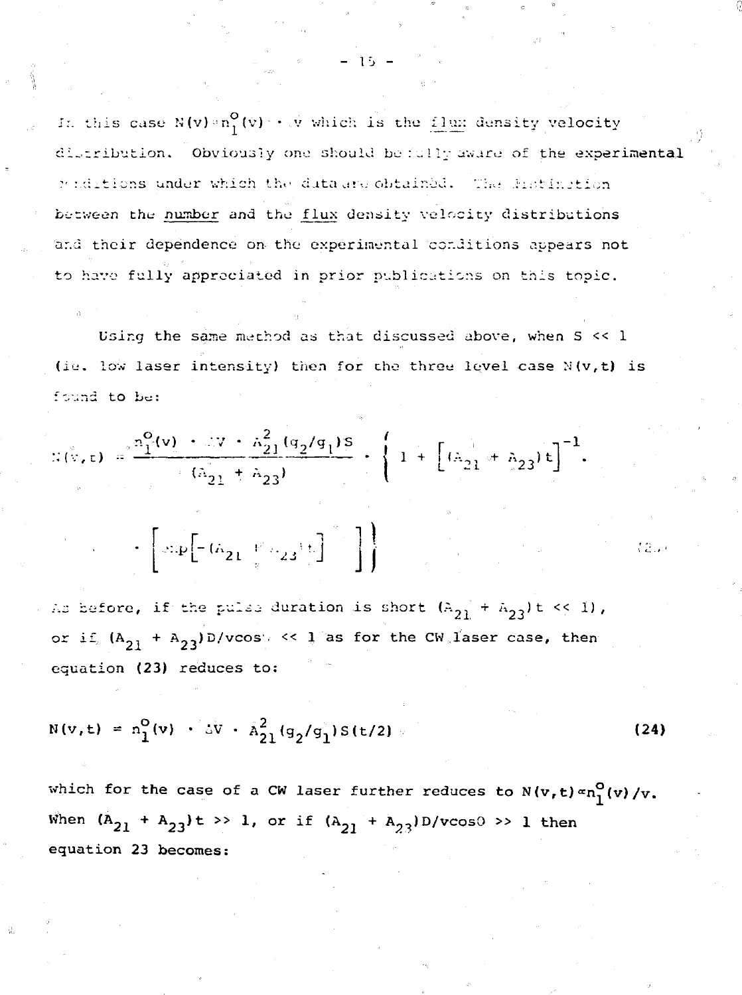In this case  $N(v) \circ n_1^O(v) \to \hat{N}$  which is the flux density velocity distribution. Obviously one should be fully aware of the experimental funditions under which the duta and obtained. The distinction between the number and the flux density velocity distributions and their dependence on the experimental conditions appears not to have fully appreciated in prior publications on this topic.

Using the same method as that discussed above, when S << 1 (ie. low laser intensity) then for the three level case N(v,t) is found to be:

$$
f(x,t) = \frac{a_1^2(v) + 2v + \lambda_{21}^2 (q_2/q_1)s}{(\lambda_{21} + \lambda_{23})} + \left\{1 + \left[ (\lambda_{21} + \lambda_{23}) t \right]^{-1} \right\}.
$$

 $\mathcal{L}\left[\sup\left[-(\hat{\alpha}_{21}^{\phantom{\dag}}\uparrow\hat{\alpha}_{23}^{\phantom{\dag}})\uparrow\right]\right]$ 

As before, if the pulse duration is short  $(A_{21} + A_{23})t \ll 1$ , or if,  $(A_{21} + A_{23})D/v\cos\theta \ll 1$  as for the CW laser case, then equation (23) reduces to:

$$
N(v,t) = n_1^O(v) + \Delta v + \hat{A}_{21}^2 (q_2/q_1) S(t/2)
$$
 (24)

i 2.y

which for the case of a CW laser further reduces to  $N(v, t) \propto n_1^O(v) / v$ . When  $(A_{21} + A_{23})t \gg 1$ , or if  $(A_{21} + A_{23})D/v\cos\theta \gg 1$  then equation 23 becomes:

-15 -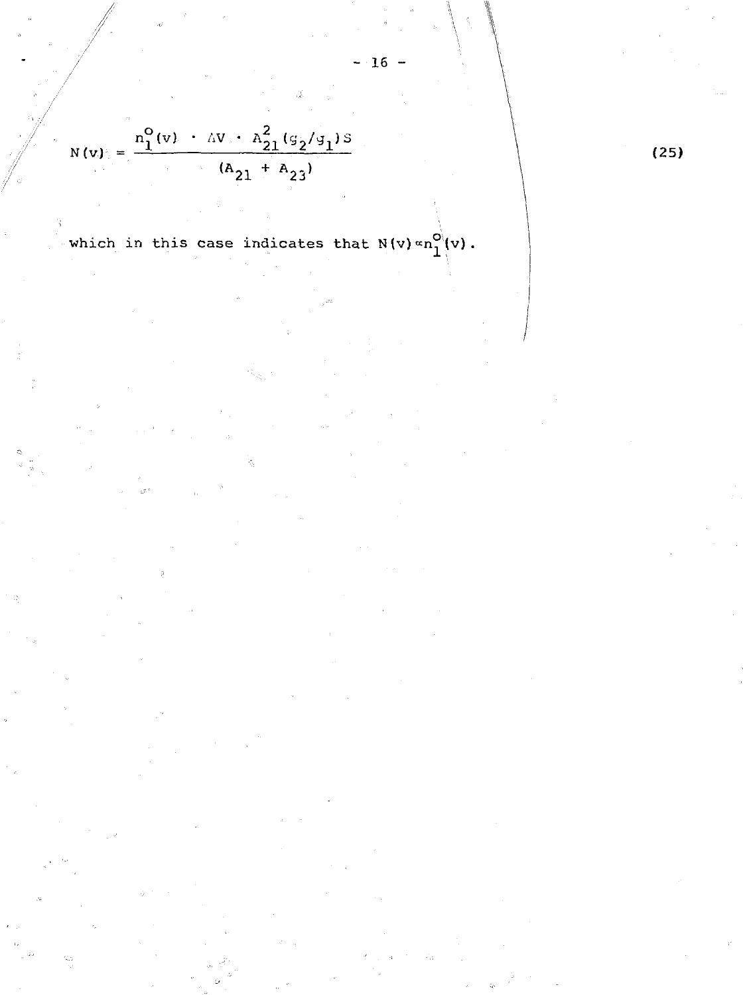$$
N(v) = \frac{n_1^O(v) + \Delta V_s + n_{21}^2 (g_2/g_1) s}{(A_{21} + A_{23})}
$$

which in this case indicates that  $N(v) \propto n_1^{O}(v)$ .

 $-16 -$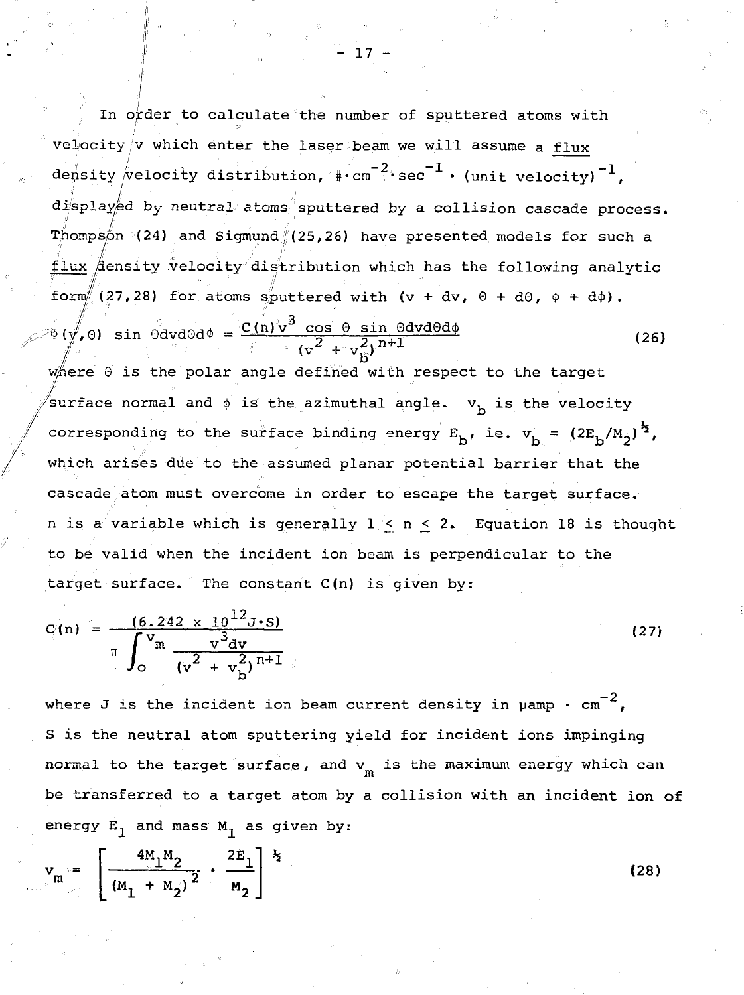In order to calculate the number of sputtered atoms with velocity  $/v$  which enter the laser beam we will assume a flux density  $/$ velocity distribution,  $\text{#-cm}^{-2}\cdot\text{sec}^{-1}\cdot\text{(unit velocity)}^{-1}$ ,  $d$ isplayed by neutral atoms sputtered by a collision cascade process. Thompson (24) and Sigmund  $(25,26)$  have presented models for such a flux  $\beta$ ensity velocity distribution which has the following analytic form  $(27,28)$  for atoms sputtered with (v + dv, 0 + d0,  $\phi$  + d $\phi$ ).  $f(0)$  sin  $\theta$ dvd $\theta$ d $\phi = \frac{C(n)v^3 \cos \theta \sin \theta d\theta d\phi}{2 \sin \theta \sin \theta d\theta d\phi}$  (26  $(\tilde{v}^2 + v_{\tilde{B}}^2)'$ 

where  $\Theta$  is the polar angle defined with respect to the target surface normal and  $\phi$  is the azimuthal angle.  $v_{\text{h}}$  is the velocity corresponding to the surface binding energy  $E_h$ , ie.  $v_h = (2E_h/M_2)^{\frac{1}{2}}$ , which arises due to the assumed planar potential barrier that the cascade atom must overcome in order to escape the target surface, n is a variable which is generally  $1 \le n \le 2$ . Equation 18 is thought to be valid when the incident ion beam is perpendicular to the target surface. The constant C(n) is given by:

$$
C(n) = \frac{(6.242 \times 10^{12} \text{J} \cdot \text{s})}{\pi \int_0^{V_m} \frac{v^3 dv}{(v^2 + v_b^2)^{n+1}}}
$$
 (27)

where J is the incident ion beam current density in  $\mu$ amp  $\cdot$  cm<sup>-2</sup>, S is the neutral atom sputtering yield for incident ions impinging normal to the target surface, and  $v_m$  is the maximum energy which can be transferred to a target atom by a collision with an incident ion of energy  $E_1$  and mass  $M_1$  as given by:

$$
v_m = \left[ \frac{4M_1M_2}{(M_1 + M_2)^2} \cdot \frac{2E_1}{M_2} \right]^{\frac{1}{2}}
$$

(28)

 $-17 -$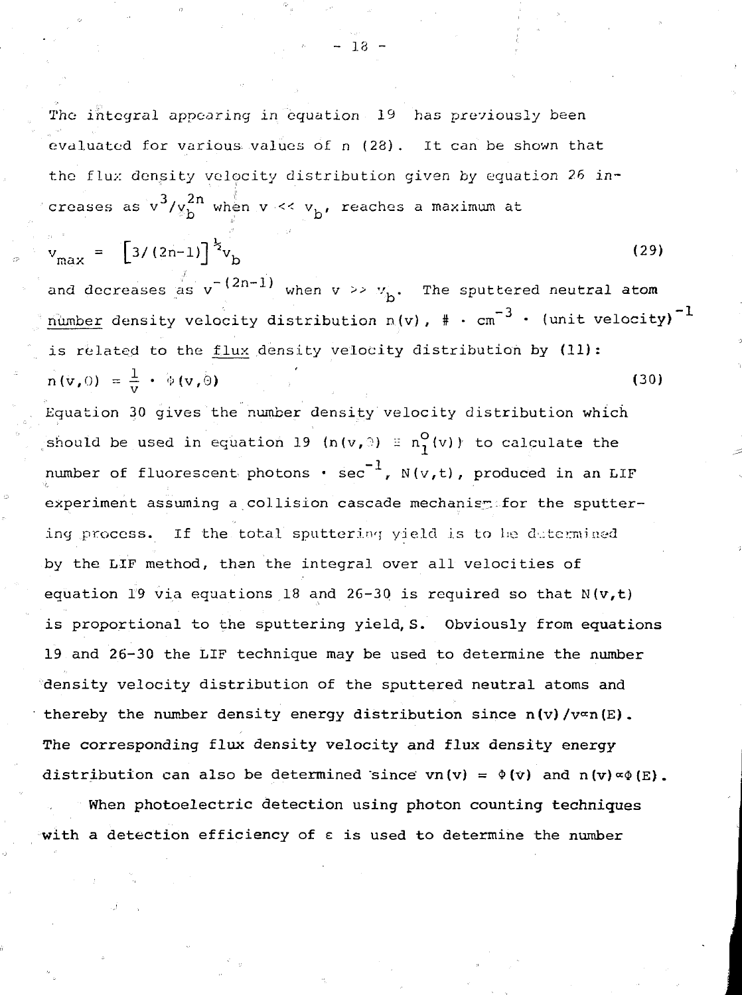The integral appearing in equation 19 has previously been evaluated for various values of n (28). It can be shown that the flux density velocity distribution given by equation 26 increases as v /v, when v /v, when v /v, when v /v, when v /v, when v /v, when v /v, when v /v, when v /v, when v<br>The same values are the same values of the same values of the same values of the same values of the same value d i b

$$
v_{\text{max}} = \left[3/(2n-1)\right]^{\frac{1}{2}} v_{\text{b}}
$$
 (29)

and decreases as  $v^{-(2n-1)}$  when  $v \gg v_{b}$ . The sputtered neutral atom number density velocity distribution n(v),  $*$   $\cdot$  cm<sup>-3</sup>  $\cdot$  (unit velocity)<sup>-1</sup> is related to the flux density velocity distribution by  $(11)$ :  $\ln(\mathbf{v}, 0) = \frac{1}{\mathbf{v}} \cdot \phi(\mathbf{v}, 0)$  $(30)$ 

Equation 30 gives the number density velocity distribution which should be used in equation 19 (n(v, ) =  $n_1^O(v)$ ) to calculate the number of fluorescent photons  $\cdot$  sec<sup>-1</sup>, N(v,t), produced in an LIF experiment assuming a collision cascade mechanism for the sputtering process. If the total sputtering yield is to be determined by the LIF method, then the integral over all velocities of equation 19 via equations 18 and 26-30 is required so that  $N(v,t)$ is proportional to the sputtering yield, S. Obviously from equations 19 and 26-30 the LIF technique may be used to determine the number density velocity distribution of the sputtered neutral atoms and thereby the number density energy distribution since  $n(v)/v$  $\infty$ n(E). The corresponding flux density velocity and flux density energy distribution can also be determined since  $vn(v) = \phi(v)$  and  $n(v) \propto \phi(E)$ .

When photoelectric detection using photon counting techniques with a detection efficiency of  $\varepsilon$  is used to determine the number

with a detection effective effective  $\mathcal{E}^{\text{max}}_{\text{max}}$  of equation effective the number of the number of  $\mathcal{E}^{\text{max}}$ 

- 18 -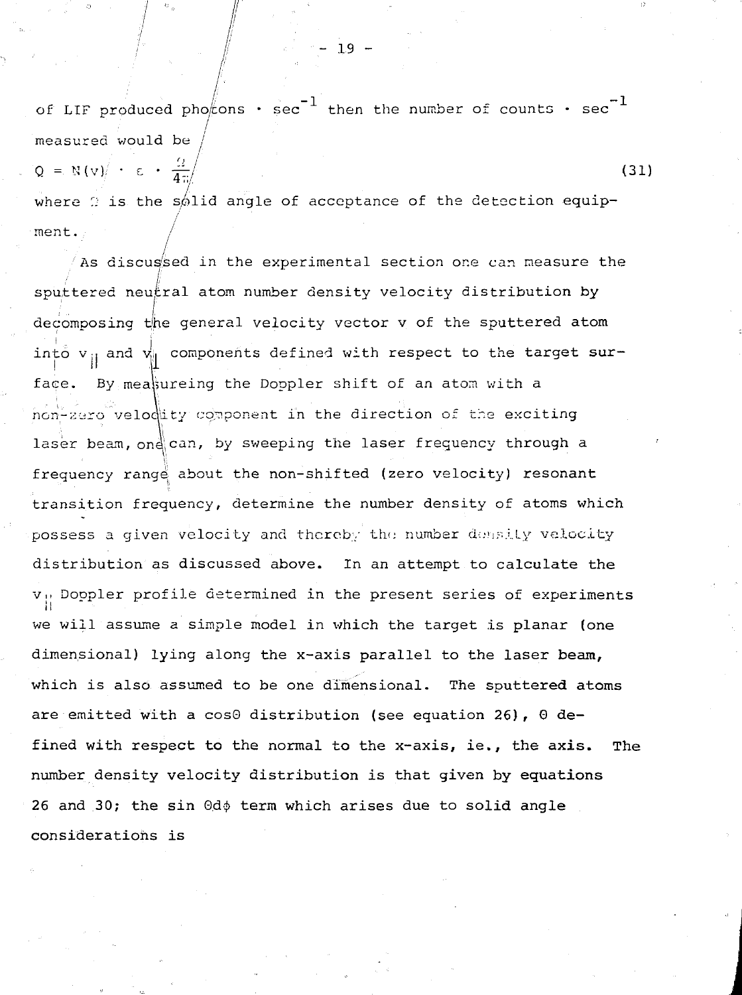of LIF produced pho $/_{\text{cons}}$  · sec<sup>-1</sup> then the number of counts · sec<sup>-1</sup> / measured would be  $Q = N(v) \leftarrow \epsilon + \frac{Q}{4\pi}$  (31)

where  $\Omega$  is the s $\phi$ lid angle of acceptance of the detection equipment.

As discus'sed in the experimental section one can measure the sputtered neu $\ell$ ral atom number density velocity distribution by decomposing the general velocity vector v of the sputtered atom into  $v_{ij}$  and  $v_{ij}$  components defined with respect to the target surface. By measureing the Doppler shift of an atom with a non-zero velodity component in the direction of the exciting laser beam, ond can, by sweeping the laser frequency through a frequency range about the non-shifted (zero velocity) resonant transition frequency, determine the number density of atoms which possess a given velocity and thereby the number density velocity possess a given velocity and thereby the number d:.";.-•..'..Ly velocity  $v_{\parallel}$  Doppler profile determined in the present series of experiments  $\mathbf{W}$  determined in the profile determined in the profile determined in the present series of experiments of experiments dimensional) lying along the x-axis parallel to the laser beam, dimensional) lying along the x-axis parallel to the laser **beam,** are emitted with a  $cos\theta$  distribution (see equation 26),  $\theta$  defined with respect to the normal to the x-axis, ie., the axis. The number density velocity distribution is that given by equations number density velocity distribution is that given **by equations 26** and **30;** the sin 0d;j> term which arises due to solid angle considerations is

- 19 -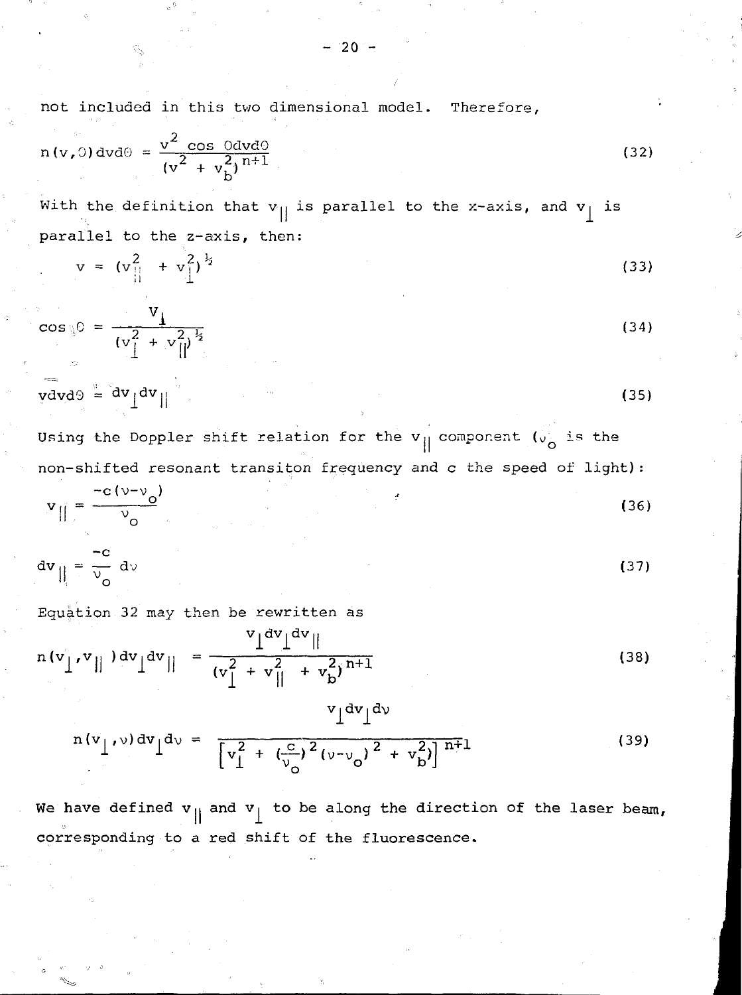not included in this two dimensional model. Therefore,

$$
n(v, 0) dv d\theta = \frac{v^2 \cos 0 dv d\theta}{(v^2 + v_b^2)^{n+1}}
$$
 (32)

With the definition that  $v_{\parallel}$  is parallel to the x-axis, and  $v_{\parallel}$  is parallel to the z-axis, then:

$$
v = (v_{\parallel}^2 + v_{\perp}^2)^{\frac{1}{2}}
$$
 (33)

$$
\cos \theta = \frac{V_1}{(v_1^2 + v_1^2)^{\frac{1}{2}}}
$$
 (34)

$$
\overline{\text{grad}}\theta = \frac{\text{d}\textbf{v}}{\text{d}\textbf{v}} \left\| \frac{\text{d}\textbf{v}}{\text{d}\textbf{v}} \right\|
$$
 (35)

Using the Doppler shift relation for the  $v_{\parallel}$  component ( $v_{0}$  is the non-shifted resonant transiton frequency and c the speed of light) :

$$
\mathbf{v}_{\parallel} = \frac{-c(v-v_0)}{v_0} \tag{36}
$$

$$
dv_{\parallel} = \frac{-c}{v_o} dv
$$
 (37)

Equation 32 may then be rewritten as

$$
n(v'_\text{r}v_\text{r}^{\text{v}}||)dv_\text{r}dv_\text{r} = \frac{v_\text{r}dv_\text{r}dv_\text{r}}{(v_\text{r}^2 + v_\text{r}^2 + v_\text{r}^2)^{n+1}}
$$
(38)

$$
n(v_1, v) dv \Big]^{d} = \frac{v_1 dv_1 dv}{[v_1^2 + (v_0^2)^2 (v - v_0)^2 + v_b^2)]^{n+1}}
$$
(39)

We have defined  $v_{\parallel}$  and  $v_{\perp}$  to be along the direction of the laser beam, corresponding to a red shift of the fluorescence.

 $-20 -$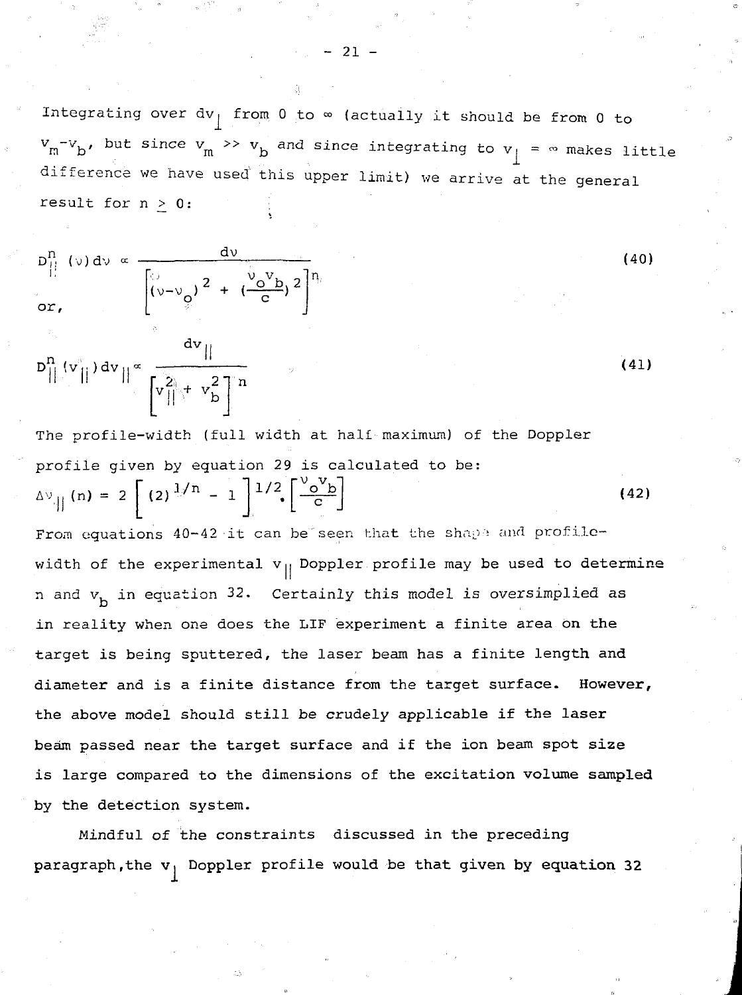Integrating over  $dv_{\parallel}$  from 0 to  $\infty$  (actually it should be from 0 to  $v_{\rm m}$   $v_{\rm b}$ , but since  $v_{\rm m}$   $\gg$   $v_{\rm b}$  and since integrating to  $v_{\rm j}$  =  $\sim$  makes litt difference we have used this upper limit) we arrive at the general result for  $n > 0$ :

(40)

$$
D_{\parallel}^{n} \text{ (b) } dv \propto \frac{dv}{\left[\left(v-v_{\varphi}\right)^{2} + \left(\frac{v_{\varphi}v_{\varphi}}{c}\right)^{2}\right]^{n_{\varphi}}}
$$

$$
D_{\|}^{n}(v_{\|}) dv_{\|} \propto \frac{1}{\left[v_{\|}^{2} + v_{\|}^{2}\right]^{n}}
$$
 (41)

The profile-width (full width at half maximum) of the Doppler profile given by equation 29 is calculated to be:  $\Delta v_{\text{eff}}(n) = 2 \int (2)^{1/n}$ (42)

From equations 40-42 it can be seen that the shape and profilewidth of the experimental  $v_{||}$  Doppler profile may be used to determine n and  $v<sub>h</sub>$  in equation 32. Certainly this model is oversimplied as in reality when one does the LIF experiment a finite area on the target is being sputtered, the laser beam has a finite length and diameter and is a finite distance from the target surface. However, the above model should still be crudely applicable if the laser beam passed near the target surface and if the ion beam spot size is large compared to the dimensions of the excitation volume sampled by the detection system.

Mindful of the constraints discussed in the preceding paragraph, the  $v_j$  Doppler profile would be that given by equation 32

- 21 -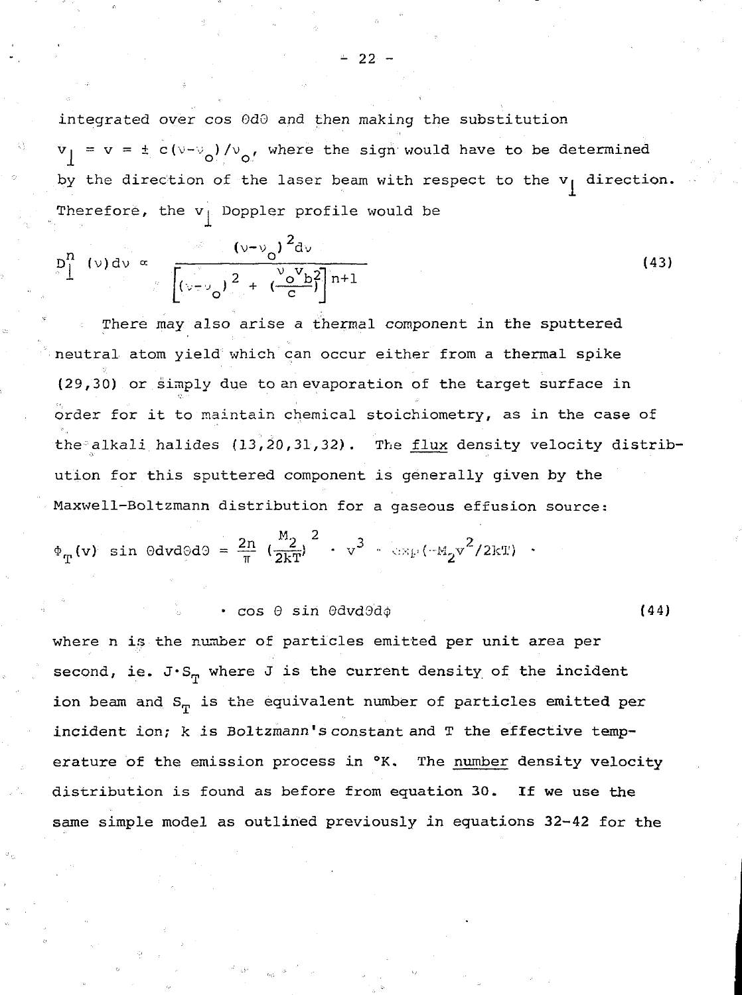integrated over cos 0d0 and then making the substitution  $\bar{v}_1 = v = \pm c(v-v_0)/v_0$ , where the sign would have to be determined by the direction of the laser beam with respect to the  $v_i$  direction. Therefore, the  $v_{\parallel}$  Doppler profile would be

$$
p_1^n \t(\nu) d\nu \propto \frac{(\nu - \nu_0)^2 d\nu}{\left[ (\nu - \nu_0)^2 + (\frac{\nu_0 V_b}{c})^2 \right] n + 1}
$$
 (43)

There may also arise a thermal component in the sputtered neutral atom yield which can occur either from a thermal spike (29,30) or simply due to an evaporation of the target surface in order for it to maintain chemical stoichiometry, as in the case of the alkali halides  $(13,20,31,32)$ . The flux density velocity distribution for this sputtered component is generally given by the Maxwell-Boltzmann distribution for a gaseous effusion source:

$$
\Phi_{\mathbf{T}}(\mathbf{v}) \sin \theta d\mathbf{v} d\theta d\theta = \frac{2n}{\pi} \left( \frac{M_2}{2kT} \right)^2 \cdot \nabla^3 \cdot \exp(-M_2 \nabla^2 / 2kT) \cdot
$$

•  $\cos \theta \sin \theta d\theta d\phi$  (44)

where n is the number of particles emitted per unit area per second, ie. J $\cdot$ S<sub>m</sub> where J is the current density of the incident ion beam and  $S_{\eta}$  is the equivalent number of particles emitted per incident ion;  $k$  is Boltzmann's constant and  $T$  the effective temperature of the emission process in  $\alpha$ . The number density velocity distribution is found as before from equation 30. If we use the same simple model as outlined previously in equations 32-42 for the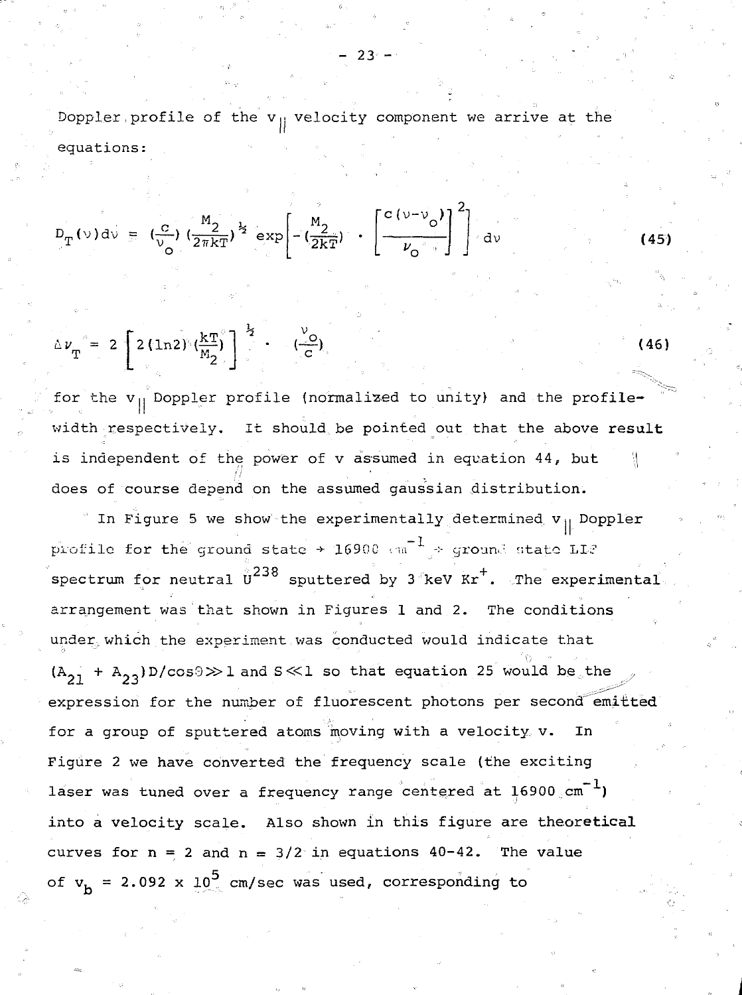Doppler profile of the  $v_{||}$  velocity component we arrive at the equations:

$$
D_T(v) dv = \left(\frac{c}{v_O}\right) \left(\frac{M_2}{2\pi kT}\right)^{\frac{1}{2}} exp\left[-\left(\frac{M_2}{2kT}\right) + \left[\frac{c(v-v_O)}{v_O}\right]^2\right] dv
$$

$$
\Delta \nu_{\rm T}^{\circ} = 2 \left[ 2 (ln 2)^{3} (\frac{k \rm T}{M_2}) \right]^{\frac{1}{2}} \cdot \frac{1}{2} (26) \tag{46}
$$

for the  $v_{||}$  Doppler profile (normalized to unity) and the profilewidth respectively. It should be pointed out that the above result is independent of the power of  $v$  assumed in equation 44, but does of course depend on the assumed gaussian distribution.

In Figure 5 we show the experimentally determined  $v_{11}$  Doppler profile for the ground state + 16900  $cm^{-1}$  + ground state LL? spectrum for neutral  $\overset{0}{\mathtt{U}}^{238}$  sputtered by 3 keV Kr<sup>+</sup>. The experimental arrangement was that shown in Figures 1 and 2. The conditions under which the experiment was conducted would indicate that  $(A_{21} + A_{23})D/cos9 \gg 1$  and S  $\ll$  1 so that equation 25 would be the expression for the number of fluorescent photons per second emitted for a group of sputtered atoms moving with a velocity, v. In Figure 2 we have converted the frequency scale (the exciting laser was tuned over a frequency range centered at 16900 cm<sup>-1</sup>) into a velocity scale. Also shown in this figure are theoretical curves for  $n = 2$  and  $n = 3/2$  in equations 40-42. The value of  $v_h = 2.092 \times 10^5$  cm/sec was used, corresponding to

**- 2 3 - • '• , . •. "**

 $(45)$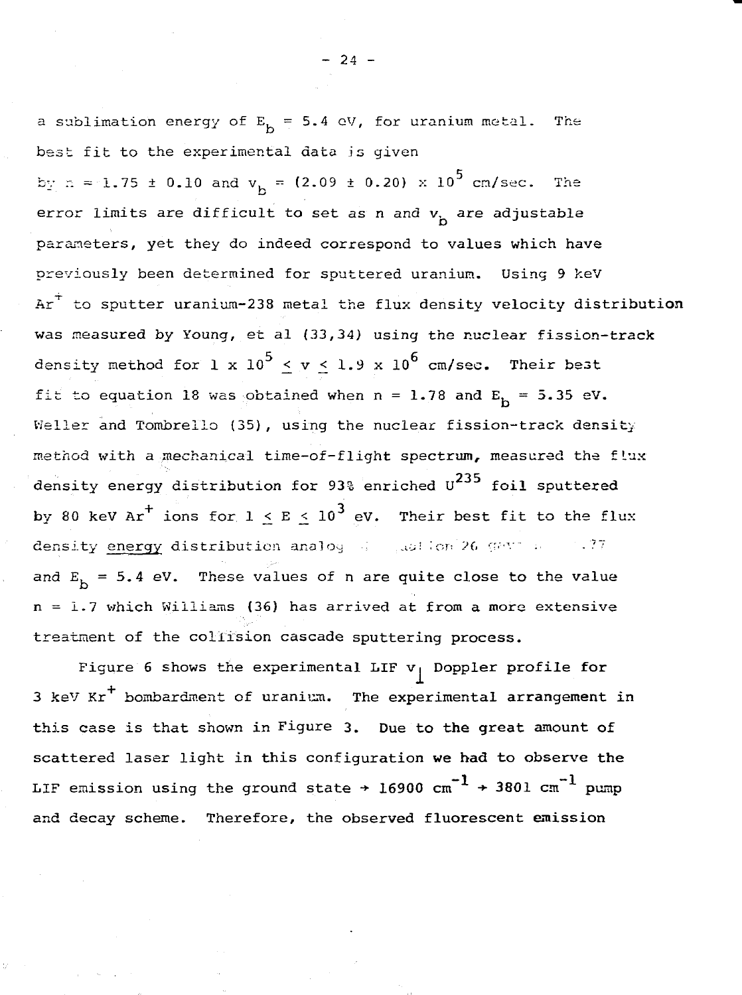a sublimation energy of  $E_h = 5.4$  eV, for uranium metal. The best fit to the experimental data is given

by  $n = 1.75 \pm 0.10$  and  $v_{\rm h} = (2.09 \pm 0.20) \times 10^5$  cm/sec. The error limits are difficult to set as n and  $v_h$  are adjustable parameters, yet they do indeed correspond to values which have previously been determined for sputtered uranium. Using 9 keV  $Ar^+$  to sputter uranium-238 metal the flux density velocity distribution was measured by Young, et al (33,34) using the nuclear fission-track density method for 1 x  $10^5 \leq v \leq 1.9$  x  $10^6$  cm/sec. Their best fit to equation 18 was obtained when  $n = 1.78$  and  $E_h = 5.35$  eV. Weller and Tombrello (35), using the nuclear fission-track density method with a mechanical time-of-flight spectrum, measured the flux density energy distribution for 93% enriched  $U^{235}$  foil sputtered by 80 keV Ar<sup>+</sup> ions for  $1 \le E \le 10^3$  eV. Their best fit to the flux density energy distribution analog  $\frac{1}{2}$  and  $\frac{1}{2}$  (FeV) . . . . 77 and  $E_b = 5.4$  eV. These values of n are quite close to the value n = 1.7 which Williams (36) has arrived at from a more extensive treatment of the collision cascade sputtering process.

Figure 6 shows the experimental LIF v<sub>|</sub> Doppler profile for  $3$  keV Kr<sup>+</sup> bombardment of uranium. The experimental arrangement in this case is that shown in Figure 3. Due to **the** great amount of scattered laser light in this configuration we had to observe the LIF emission using the ground state  $\rightarrow$  16900  $\text{cm}^{-1}$   $\rightarrow$  3801  $\text{cm}^{-1}$  pump and decay scheme. Therefore, the **observed fluorescent emission**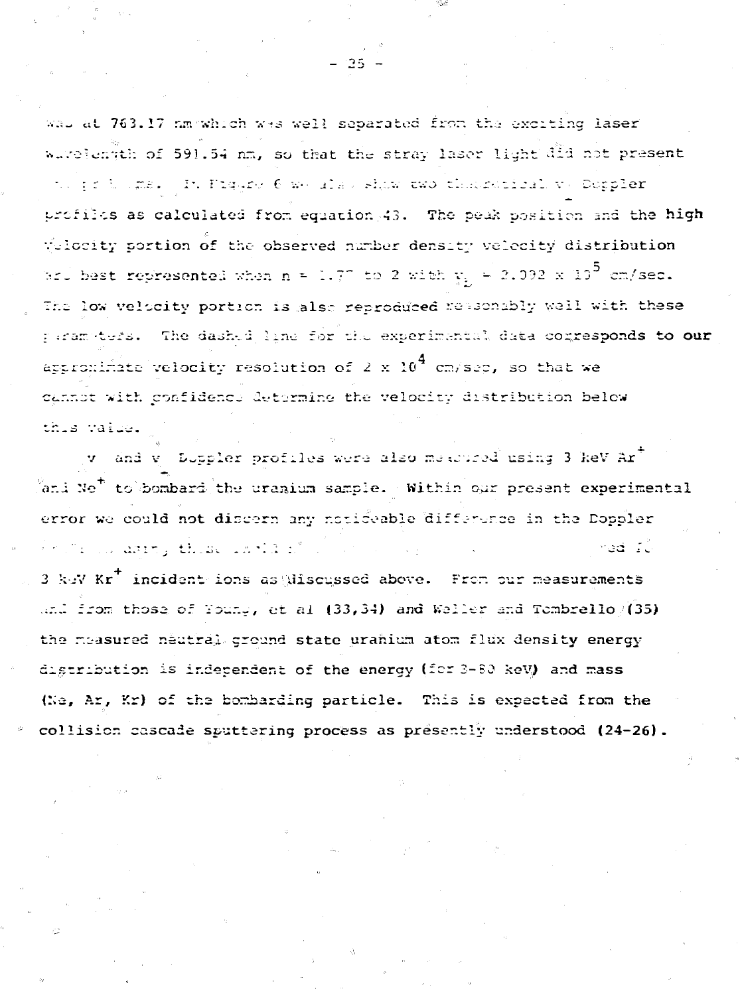wal at 763.17 nm which was well separated from the exciting laser wavelength of 591.54 nm, so that the stray laser light did not present to jednoma. In Piqure 6 we also shaw two thatsatical ve Doppler profiles as calculated from equation 43. The peak position and the high Velocity portion of the observed number density velocity distribution ard best represented when n = 1.77 to 2 with  $y_{\rm p}$  = 2.092 x 10<sup>5</sup> cm/sec. The low velocity portion is also reproduced reasonably well with these paramoters. The dashed line for the experimental data conresponds to our appromimate velocity resolution of 2 x  $10^4$  cm/sep, so that we cannot with confidence determine the velocity distribution below this value.

v and v Duppler profiles were also measured using 3 keV Ar<sup>+</sup>  $\frac{5}{1}$ ani Ne<sup>+</sup> to bombard the uranium sample. Within our present experimental error we could not discern any noticeable difference in the Doppler  $\delta \gamma$  . The constant  $\mu$  , then we will be  $\beta$  . med Tü 3 keV Kr<sup>+</sup> incident ions as Miscussed above. From our measurements and from those of Young, et al  $(33,34)$  and Weller and Tombrello  $/(35)$ the moasured neutral ground state uranium atom flux density energy digtribution is independent of the energy (for 3-80 keV) and mass (Ne, Ar, Kr) of the bombarding particle. This is expected from the collision cascade sputtering process as presently understood (24-26).

 $-25^{\circ}$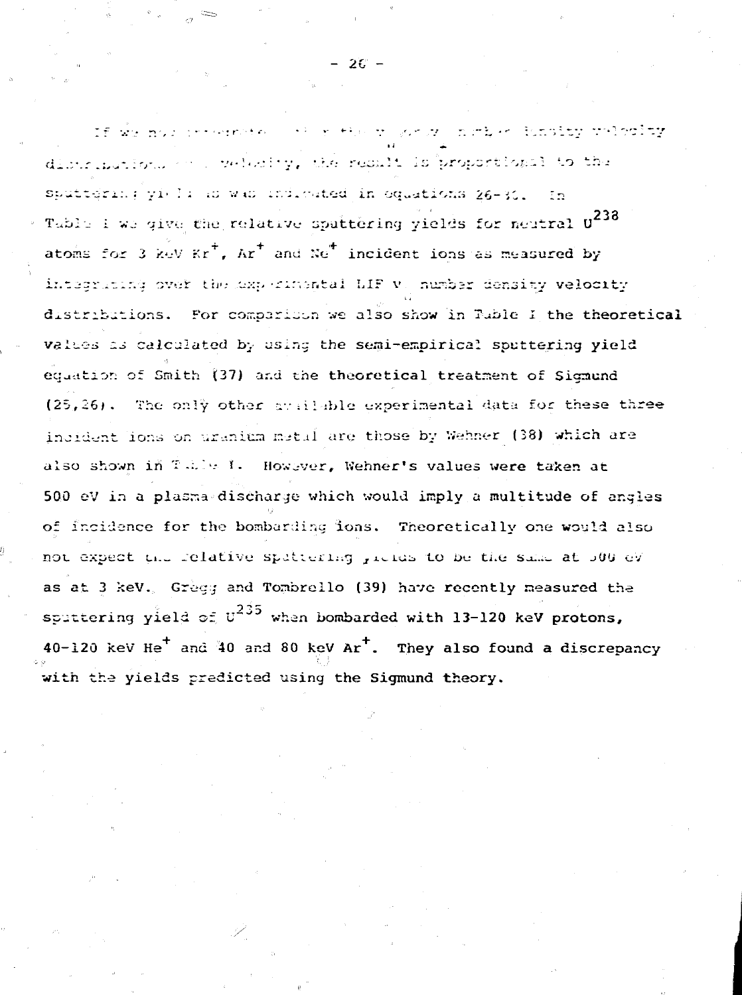If we not consumpted as a strong world nother fundity velocity distribution, or pulstify, the result is proportional to the Sputtering yield as was indicated in oquations 26-30.  $-1n$ Table I we give the relative sputtering yields for neutral U238 atoms for 3 keV Kr<sup>+</sup>, Ar<sup>+</sup> and Ne<sup>+</sup> incident ions as measured by integrating over the experimental LIF v. number density velocity distributions. For comparison we also show in Tuble I the theoretical values as calculated by using the semi-empirical sputtering yield equation of Smith (37) and the theoretical treatment of Sigmund (25,26). The only other available experimental data for these three incident lons on uranium metal are those by Wehner (38) which are also shown in Table 1. However, Wehner's values were taken at 500 eV in a plasma-discharge which would imply a multitude of angles of incidence for the bombarding ions. Theoretically one would also not expect the relative spattering groups to be the same at 500 eV as at 3 keV. Gregg and Tombrello (39) have recently measured the sputtering yield of  $v^{235}$  when bombarded with 13-120 keV protons, 40-120 keV He<sup>+</sup> and 40 and 80 keV Ar<sup>+</sup>. They also found a discrepancy with the yields predicted using the Sigmund theory.

 $-26 -$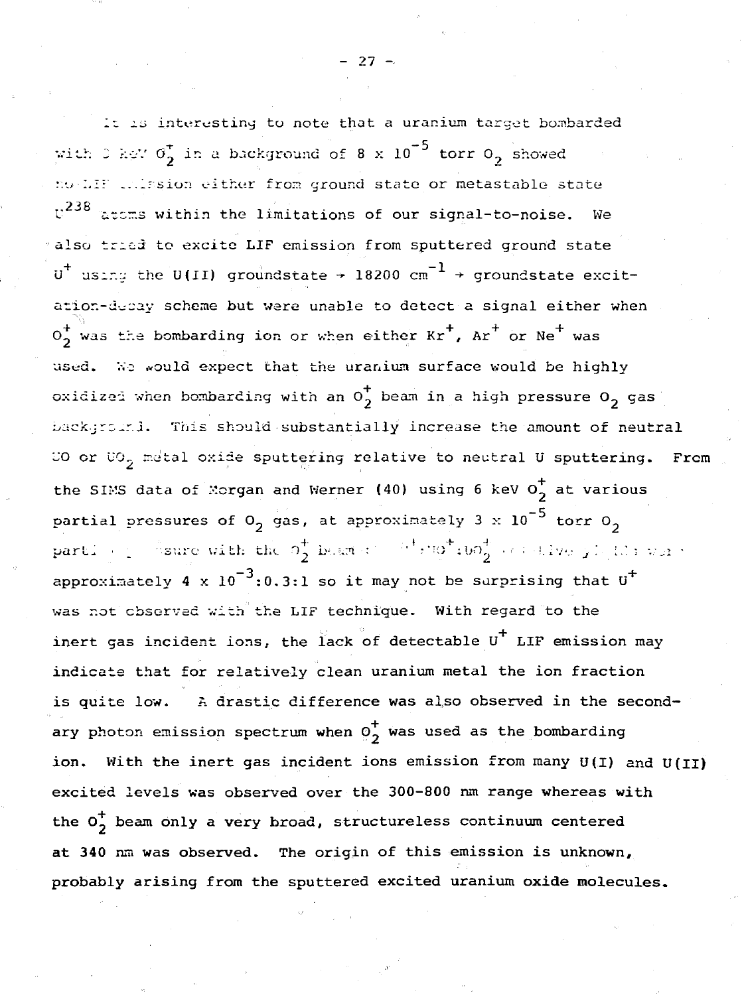It is interesting to note that a uranium target bombarded with 0 kgV  $\sigma_2^*$  in a background of 8 x 10<sup>-5</sup> torr 0<sub>2</sub> showed no LIF colasion either from ground state or metastable state  $v^{238}$  atoms within the limitations of our signal-to-noise. We also tried to excite LIF emission from sputtered ground state  $\overline{u}^+$  using the U(II) groundstate + 18200 cm<sup>-1</sup> + groundstate excitation-decay scheme but were unable to detect a signal either when  $0^{+}_{2}$  was the bombarding ion or when either  $Kr^{+}$ ,  $Ar^{+}$  or Ne<sup>+</sup> was used. We would expect that the uranium surface would be highly oxidized when bombarding with an  $0^{+}_{2}$  beam in a high pressure  $0^{-}_{2}$  gas background. This should substantially increase the amount of neutral CO or CO<sub>2</sub> metal oxide sputtering relative to neutral U sputtering. From the SIMS data of Morgan and Werner (40) using 6 keV  $0^{+}_{2}$  at various partial pressures of  $0<sub>2</sub>$  gas, at approximately 3 x 10<sup>-5</sup> torr  $0<sub>2</sub>$ partly  $\frac{1}{2}$  sure with the  $\sigma_2^+$  beams:  $\frac{1}{2}$   $\frac{1}{2}$   $\frac{1}{2}$   $\frac{1}{2}$   $\sigma_2^+$   $\frac{1}{2}$   $\frac{1}{2}$   $\frac{1}{2}$   $\frac{1}{2}$   $\frac{1}{2}$   $\frac{1}{2}$   $\frac{1}{2}$ approximately 4 x  $10^{-3}$ :0.3:1 so it may not be surprising that  $0^+$ was not observed with the LIF technique. With regard to the inert gas incident ions, the lack of detectable U<sup>+</sup> LIF emission may indicate that for relatively clean uranium metal the ion fraction is quite low. A drastic difference was also observed in the secondary photon emission spectrum when  $\overline{\mathfrak{o}}_2^+$  was used as the bombarding ion. With the inert gas incident ions emission from many U(I) and U(II) excited levels was observed over the 300-800 nm range whereas with the  $0_2^+$  beam only a very broad, structureless continuum centered at 340 nm was observed. The origin of this emission is unknown, probably arising from the sputtered excited uranium oxide molecules.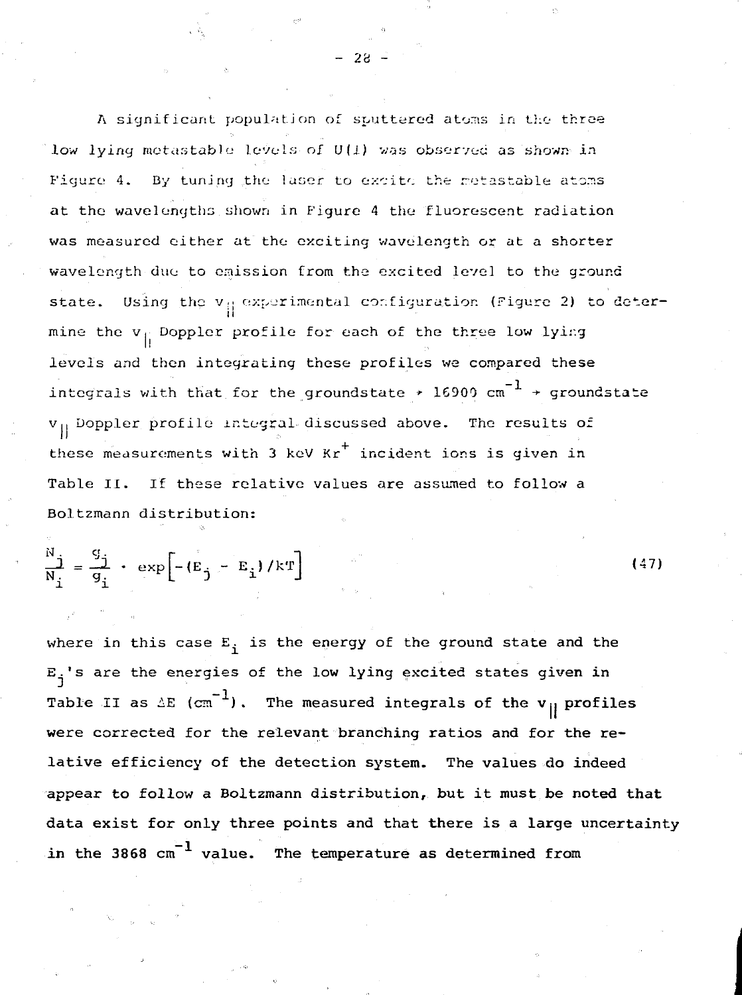A significant population of sputtered atoms in the three low lying metastable levels of U(1) was observed as shown in Figure 4. By tuning the laser to excite the metastable atoms at the wavelengths shown in Figure 4 the fluorescent radiation was measured either at the exciting wavelength or at a shorter wavelength duo to emission from the excited level to the ground state. Using the  $v_{\parallel}$  experimental configuration (Figure 2) to determine the v, Doppler profile for each of the three low lyir.government profile for the three low lyir.government levels and then integrating these profiles we compared these<br>integrals with that for the groundstate  $\rightarrow$  16900 cm<sup>-1</sup> + groundstate integrals with that for the groundstate \* 16900 cm -\*• groundstate VII Doppler profile integral discussed above. The results of these measurements with 3 keV Kr incident ions is given in Table II. If these relative values are assumed to follow a Table II. If these relative values are assumed to follow a Boltzmann distribution: Boltzmann distribution:

- 28 -

$$
\frac{N}{N_i} = \frac{q_i}{q_i} + \exp\left[-\left(E_j - E_i\right)/kT\right]
$$
 (47)

where in this case E. is the energy of the **ground** state **and the** E.'s are the energies of **the low lying excited states given in** Table II as  $\Delta E$  (cm<sup>-1</sup>). The measured integrals of the v<sub>||</sub> profiles **were corrected** for **the relevant branching ratios and for the relative efficiency of the detection system. The values do indeed appear to follow a Boltzmann distribution, but it** must **be noted that data exist for only three points and that there is a large uncertainty** in the 3868 cm<sup>-1</sup> value. The temperature as determined from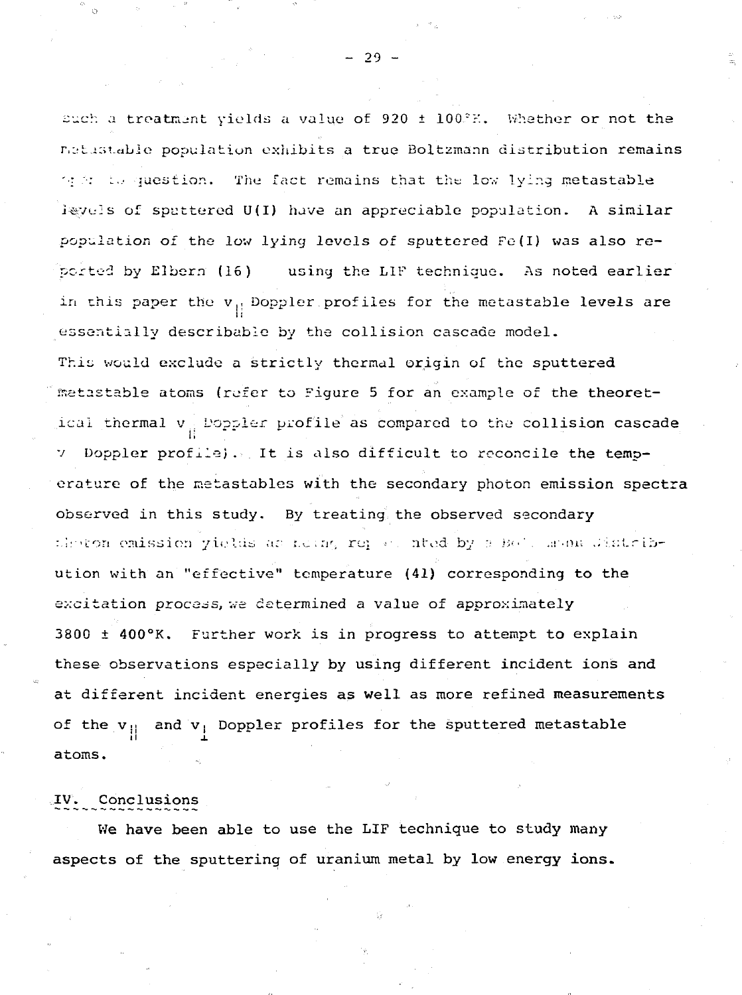such a treatment yields a value of 920  $\pm$  100. $\%$ . Whether or not the retistable population exhibits a true Boltzmann distribution remains  $\gamma$  in question. The fact remains that the low lying metastable isyuis of spattered U(I) have an appreciable population. A similar population of the low lying levels of sputtered  $Fe(1)$  was also reported by Elbern (16) usiny the L1F technique. As noted earlier in this paper the  $v_{||}$  Doppler profiles for the metastable levels are essentially describable by the collision cascade model. This would exclude a strictly thermal origin of the sputtered metastable atoms (refer to Figure 5 for an example of the theoretical thermal  $v_{\alpha}$  Doppler profile as compared to the collision cascade v Doppler profile). It is also difficult to reconcile the temperature of the metastables with the secondary photon emission spectra observed in this study. By treating the observed secondary :leton omission yields as heing represented by :: He's menu distribution with an "effective" temperature (41) corresponding to the excitation process, we determined a value of approximately 3800 + 400°K. Further work is in progress to attempt to explain these observations especially by using different incident ions and at different incident energies as well as more refined measurements of the  $v_{||}$  and  $v_{||}$  Doppler profiles for the sputtered metastable ii  $\qquad \qquad \text{if}$ atoms.

#### IV. Conclusions

Me have been able to use the LIF technique to study many aspects of the sputtering of uranium metal by low energy ions.

 $-29 -$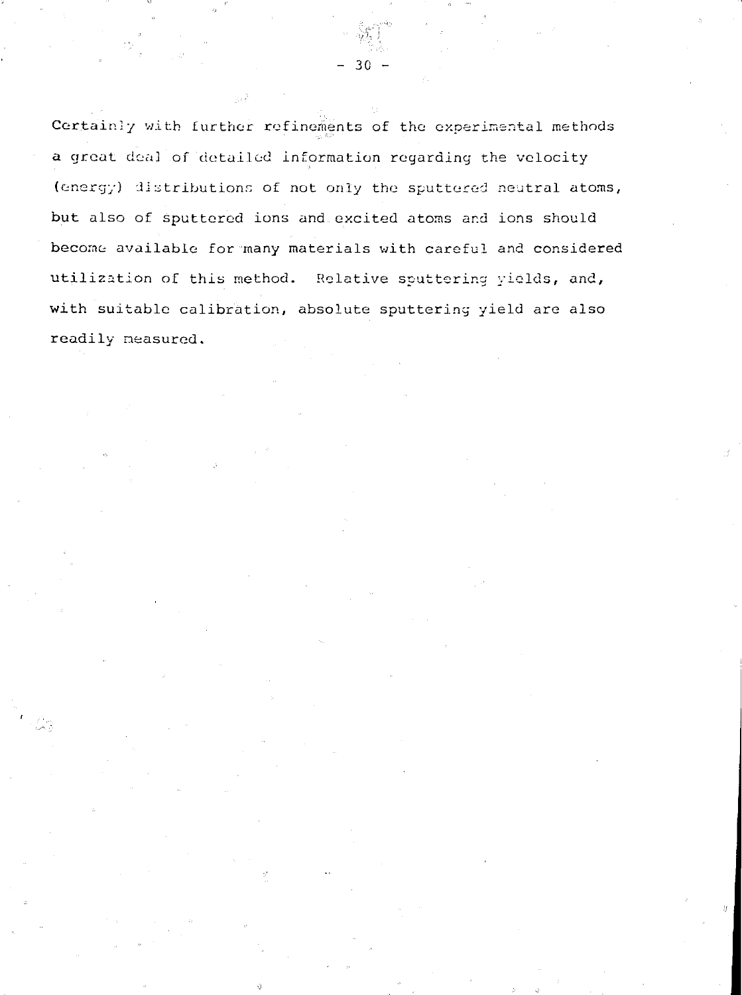Certainly with further refinements of the experimental methods a great deal of detailed information regarding the velocity (energy) distributions of not only the sputtered neutral atoms, but also of sputtered ions and excited atoms and ions should become available for many materials with careful and considered utilization of this method. Relative sputtering yields, and, with suitable calibration, absolute sputtering yield are also readily measured.

 $-30 -$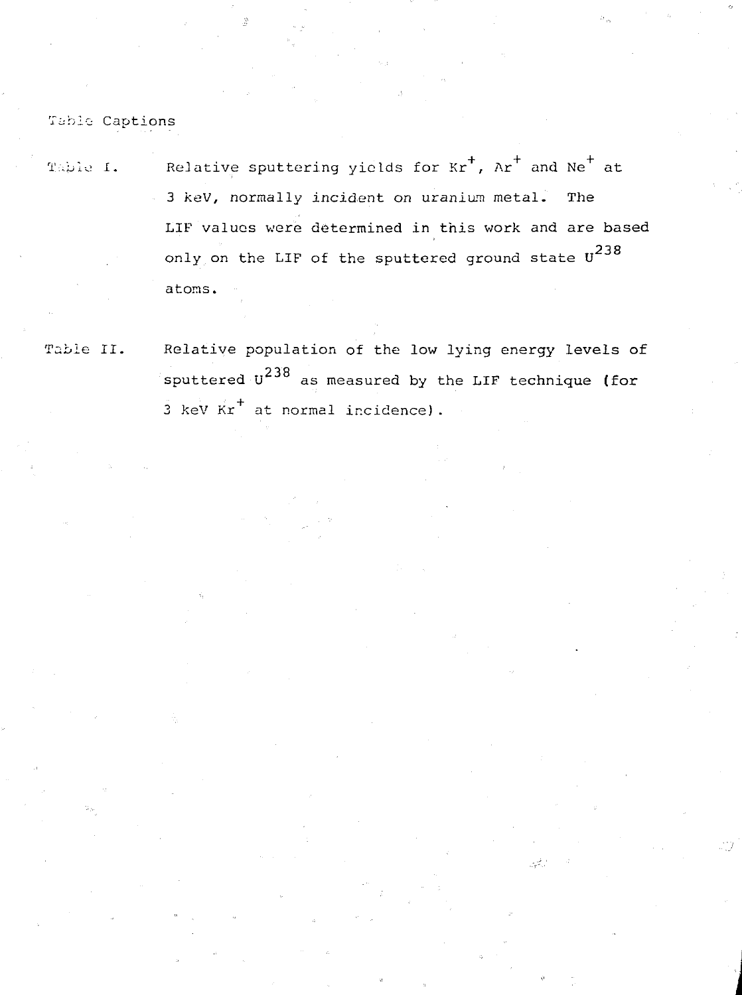Table Captions

Table I. Belative sputtering yields for  $Kr^{+}$ ,  $Ar^{+}$  and  $Ne^{+}$  at 3 keV, normally incident on uranium metal. The LIF values were determined in this work and are based 238  $\frac{1}{2}$  on the LIF of the sputtered ground state  $\frac{1}{2}$ atoms.

Table II. Relative population of the low lying energy levels of sputtered  $U^{238}$  as measured by the LIF technique (for  $3$  keV  $Kr^+$  at normal incidence).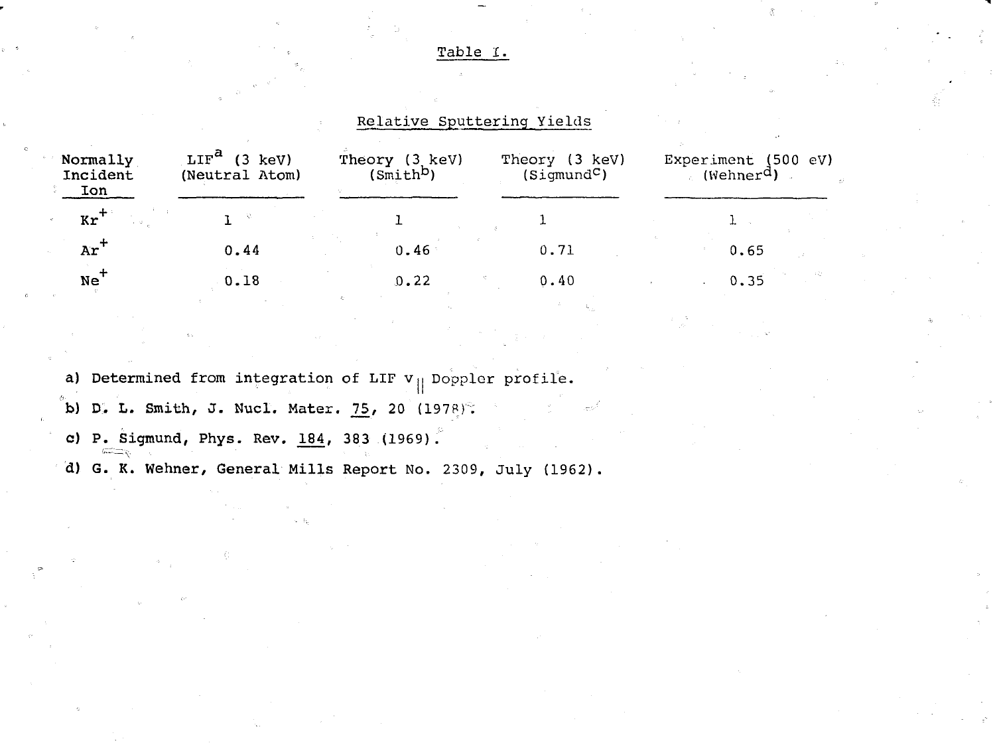Table I.

Relative Sputtering Yields

| Normally<br>Incident<br>Ion | $LIF^a$<br>$(3 \text{ keV})$<br>(Neutral Atom) | Theory (3 keV)<br>(Smith <sup>D</sup> ) | Theory (3 keV)<br>(Sigmoid <sup>C</sup> ) | Experiment (500 eV)<br>(Wehner <sup>d</sup> ) |
|-----------------------------|------------------------------------------------|-----------------------------------------|-------------------------------------------|-----------------------------------------------|
| $kr^{+}$                    |                                                |                                         |                                           |                                               |
| $Ar^+$                      | 0.44                                           | 0.46                                    | 0.71                                      | 0.65                                          |
| $Ne^+$                      | 0.18                                           | 0.22                                    | 0.40                                      | 0.35                                          |

a) Determined from integration of LIF **v**<sub>||</sub> Doppler profile.

**b) D. L. Smith, J. Nucl. Mater. 75, 20 (1978):** 

**c) P. Sigmund, Phys. Rev. 184, 383** (1969).

**d) G. K. Wehner, General Mills Report** No. 2309, July (1962).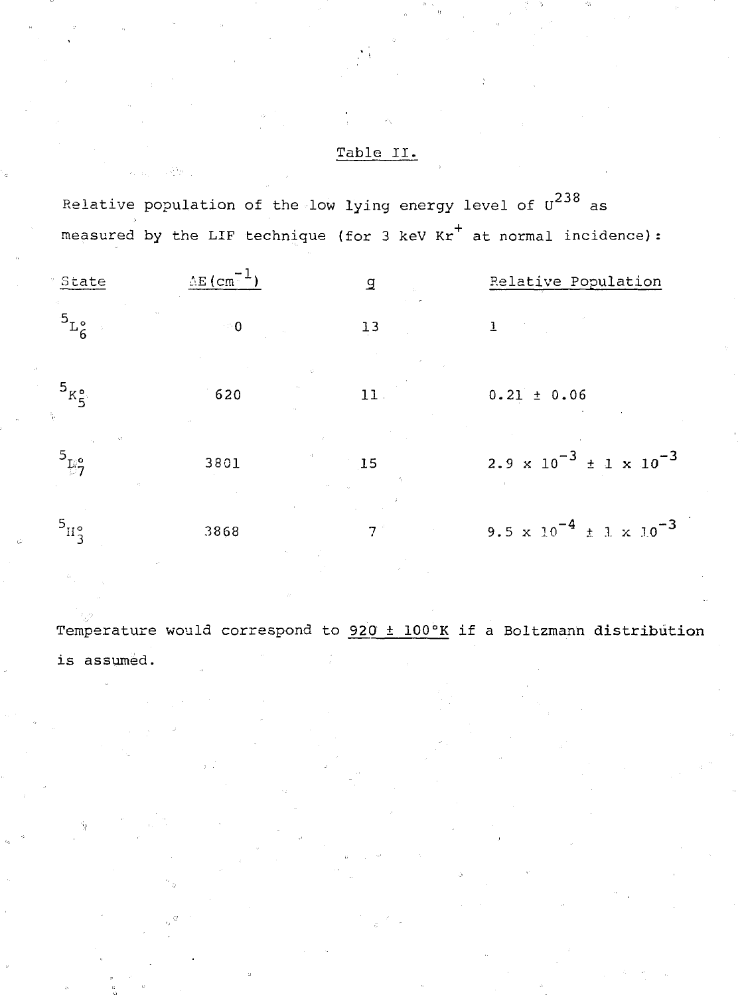### Table II.

Relative population of the low lying energy level of  $u^{238}$  as Relative population of the low lying energy level of U as measured by the LIF technique (for 3 keV Kr $^+$  at normal incidence):

| <sup>.</sup> State                 | $AE$ (cm <sup>-</sup>              | g               | Relative Population                                             |
|------------------------------------|------------------------------------|-----------------|-----------------------------------------------------------------|
| $5L_{6}^{\circ}$                   | ം റ                                | 13              |                                                                 |
| $5_{K_S^0}$<br>q.                  | $\mathcal{O}^{\mathcal{C}}$<br>620 | 11.             | $0.21 \pm 0.06$                                                 |
| Đ.<br>$^{5}E_{7}^{\circ}$          | 3801                               | $\overline{15}$ | $2.9 \times 10^{-3} \pm 1 \times 10^{-3}$                       |
| $^{5}$ H <sub>2</sub> <sup>o</sup> | 3868                               |                 | 9.5 $\times$ 10 <sup>-4</sup> $\pm$ 1 $\times$ 10 <sup>-3</sup> |

Temperature would correspond to  $920 \pm 100$ °K if a Boltzmann distribution is assumed.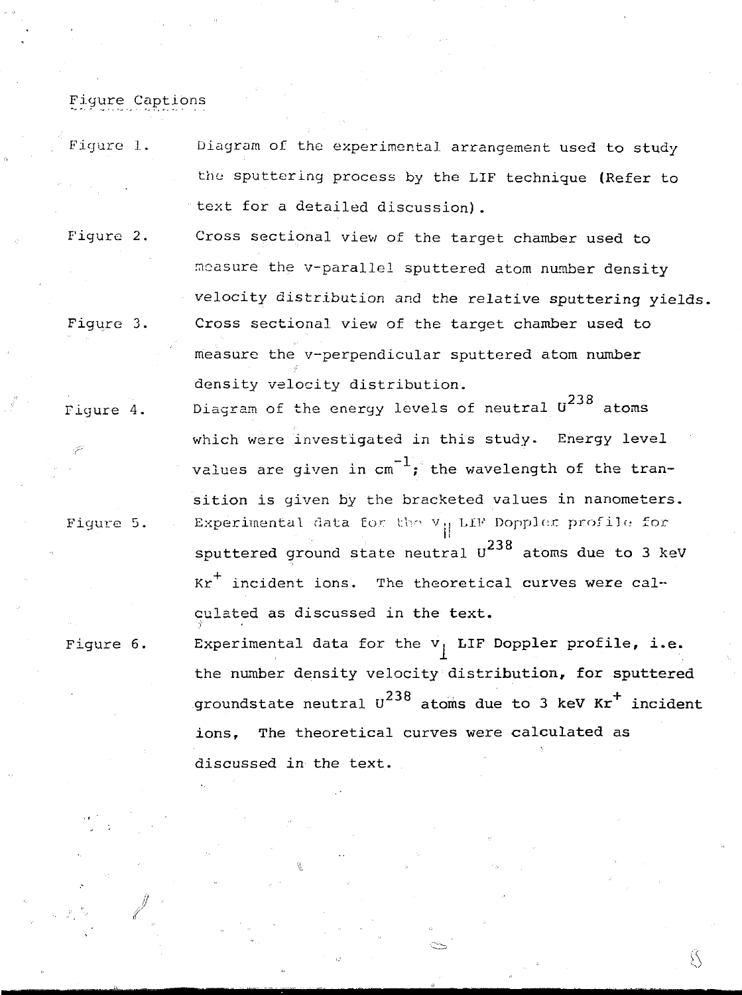## Figure Captions

- Figure 1. Diagram of the experimental arrangement used to study the sputtering process by the LIF technique (Refer to text for a detailed discussion).
- Figure 2. Cross sectional view of the target chamber used to measure the v-parallel sputtered atom number density velocity distribution and the relative sputtering yields. Figure 3. Cross sectional view of the target chamber used to measure the v-perpendicular sputtered atom number density velocity distribution.
- Figure 4. Diagram of the energy levels of neutral  $0^{238}$  atoms which were investigated in this study. Energy level values are given in  $cm^{-1}$ ; the wavelength of the transition is given by the bracketed values in nanometers. Figure 5.  $\blacksquare$  Experimental data for the  $\mathtt{v}_{||}$  LIP Doppler profile for sputtered ground state neutral  $0^{238}$  atoms due to 3 keV  $kr^+$  incident ions. The theoretical curves were calculated as discussed in the text. culated as discussed in the text.

Figure 6. Experimental data for the v. LIF **Doppler profile, i.e.** the number density velocity **distribution, for sputtered** <sup>238</sup> atoms due to 3 keV Kr<sup>-</sup> ions. The theoretical curves were calculated as discussed in the text.

Й

discussed in the text.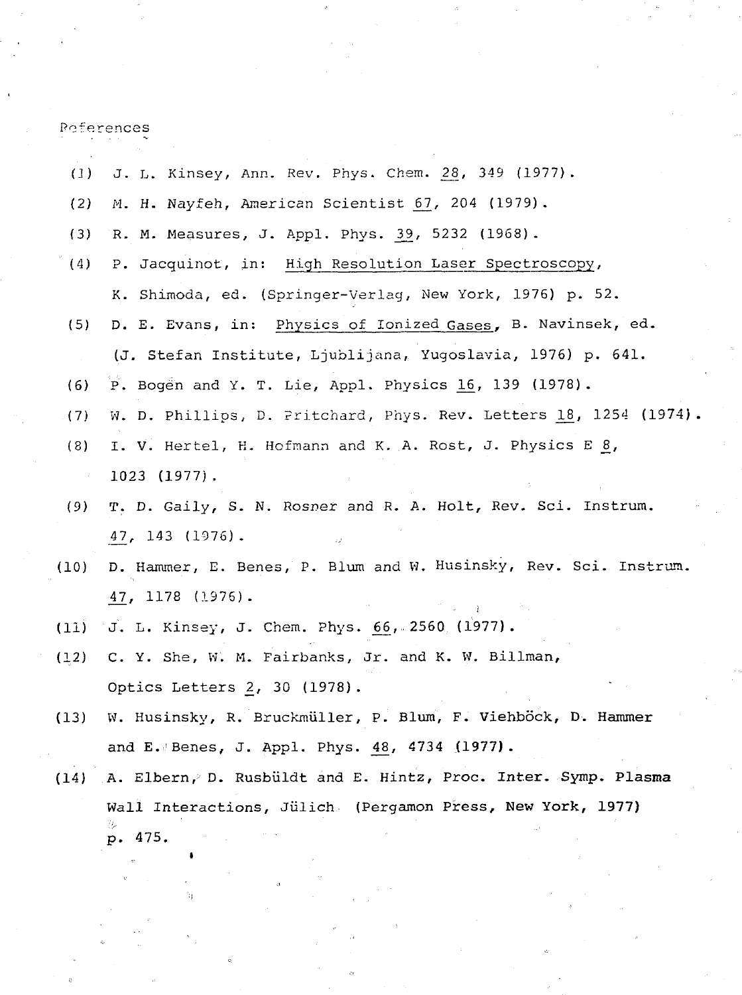Peferences

| (1)   | J. L. Kinsey, Ann. Rev. Phys. Chem. 28, 349 (1977).               |
|-------|-------------------------------------------------------------------|
| (2)   | M. H. Nayfeh, American Scientist 67, 204 (1979).                  |
| (3)   | R. M. Measures, J. Appl. Phys. 39, 5232 (1968).                   |
| (4)   | P. Jacquinot, in: High Resolution Laser Spectroscopy,             |
|       | K. Shimoda, ed. (Springer-Verlag, New York, 1976) p. 52.          |
| (5)   | D. E. Evans, in: Physics of Ionized Gases, B. Navinsek, ed.       |
|       | (J. Stefan Institute, Ljublijana, Yugoslavia, 1976) p. 641.       |
| (6)   | P. Bogen and Y. T. Lie, Appl. Physics $16$ , 139 (1978).          |
| (7)   | W. D. Phillips, D. Pritchard, Phys. Rev. Letters 18, 1254 (1974). |
| (8)   | I. V. Hertel, H. Hofmann and K. A. Rost, J. Physics E 8,          |
|       | $1023$ $(1977)$ .                                                 |
| (9)   | T. D. Gaily, S. N. Rosner and R. A. Holt, Rev. Sci. Instrum.      |
|       | 47, 143 (1976).                                                   |
| (10)  | D. Hammer, E. Benes, P. Blum and W. Husinsky, Rev. Sci. Instrum.  |
|       | $47, 1178 (1976)$ .                                               |
| (11)  | J. L. Kinsey, J. Chem. Phys. 66, 2560 (1977).                     |
| (1,2) | C. Y. She, W. M. Fairbanks, Jr. and K. W. Billman,                |
|       | Optics Letters 2, 30 (1978).                                      |
| (13)  | W. Husinsky, R. Bruckmüller, P. Blum, F. Viehböck, D. Hammer      |
|       | and E. Benes, J. Appl. Phys. $48$ , $4734$ (1977).                |
| (14)  | A. Elbern, D. Rusbüldt and E. Hintz, Proc. Inter. Symp. Plasma    |
|       | Wall Interactions, Jülich (Pergamon Press, New York, 1977)        |
|       | p. 475.                                                           |
|       |                                                                   |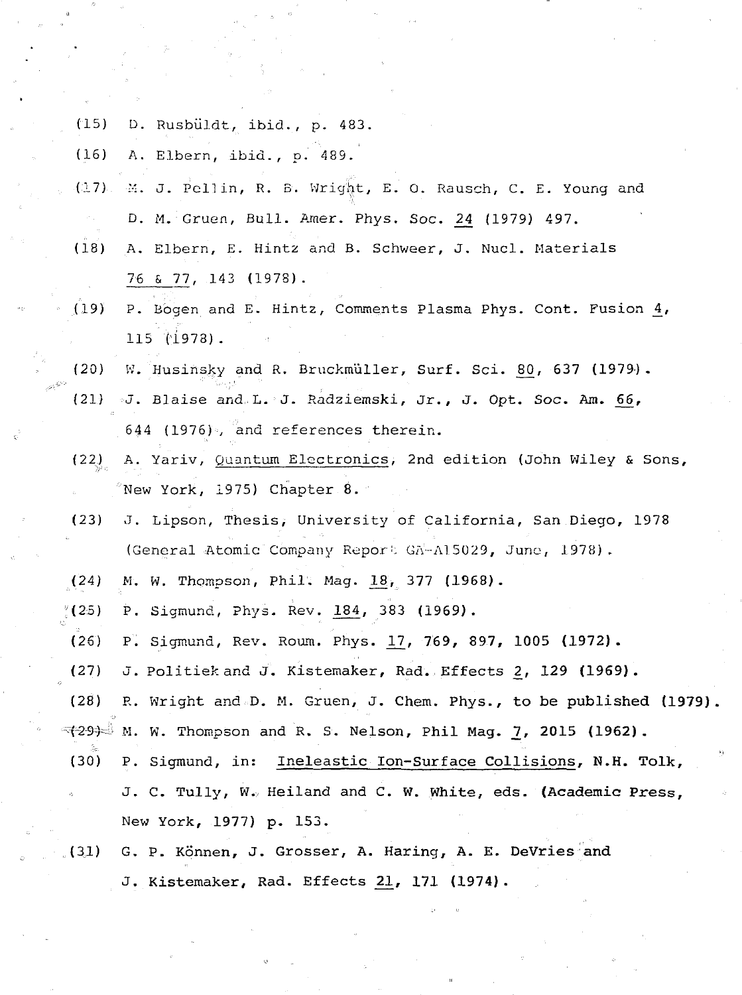(15) D. Rusbiildt, ibid., p. 483.

(16) A. Elbern, ibid., p. 489.

- (17) M. J. Pell in, R. B. Wrigiit, E. 0. Rausch, C. E. Young and D. M. Gruen, Bull. Amer. Phys. Soc. 24 (1979) 497.
- (18) A. Elbern, E. Hints and B. Schweer, J. Nucl. Materials 76 5 77, 143 (197S).
- (19) P. Bogen and E. Hintz, Comments Plasma Phys. Cont. Fusion \_4, 115 11973).
- $(20)$  W. Husinsky and R. Bruckmüller, Surf. Sci. 80, 637 (1979).
- $(21)$  J. Blaise and L. J. Radziemski, Jr., J. Opt. Soc. Am. 66, 644 (1976). and references therein.
- (22) A. Yariv, Quantum Electronics, 2nd edition (John Wiley & Sons,  $^\circ$ New York, 1975) Chapter 8.  $^\circ$
- (23) J. Lipson, Thesis, University of California, San Diego, 1978 (General Atomic Company Report GA-Al5029, June, 1978).
- $(24)$  M. W. Thompson, Phil. Mag. 18, 377 (1968).
- $(25)$  P. Sigmund, Phys. Rev. 184, 383 (1969).
- (26) P. Sigmund, Rev. Roum. Phys. 1/7, 769, 897, **1005 (1972).**
- (27) J. Politiek and J. Kistemaker, Rad. Effects 2, **129 (1969).**
- (28) R. Wright and D. M. Gruen, J. Chem. Phys., to be published (1979).
- $\rightarrow$  293 $\rightarrow$  M. W. Thompson and R. S. Nelson, Phil Mag. <u>7</u>, 2015 (1962).
- (30) P. Sigmund, in: Ineleastic Ion-Surface Collisions, **N.H. Tolk,** J. C. Tully, W.; Heiland and C. **W. White, eds. (Academic Press,** New York, **1977) p.** 153.

# (31) G. P. Konnen, J. Grosser, A. Haring, **A. E. DeVries and** J. Kistemaker, Rad. Effects **21,** 171 **(1974).**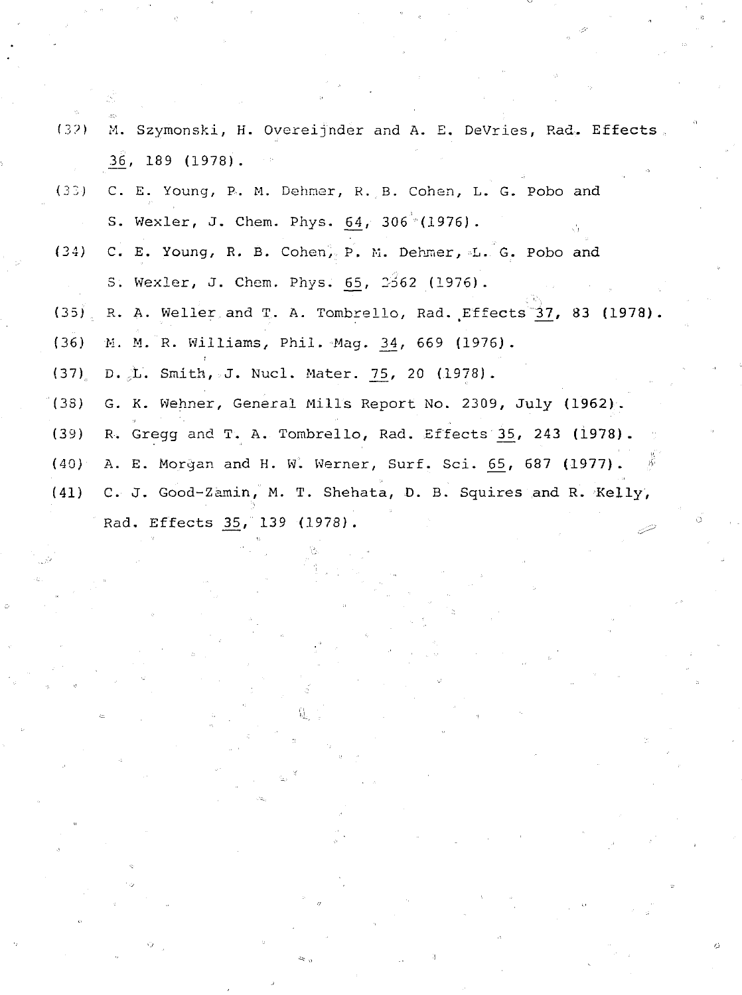| (32) | M. Szymonski, H. Overeijnder and A. E. DeVries, Rad. Effects.      |
|------|--------------------------------------------------------------------|
|      | 36, 189 (1978).                                                    |
| (33) | C. E. Young, P. M. Dehmer, R. B. Cohen, L. G. Pobo and             |
|      | S. Wexler, J. Chem. Phys. 64, 306 (1976).                          |
|      | (34) C. E. Young, R. B. Cohen, P. M. Dehmer, L. G. Pobo and        |
|      | S. Wexler, J. Chem. Phys. 65, 2562 (1976).                         |
|      | (35) R. A. Weller and T. A. Tombrello, Rad. Effects 37, 83 (1978). |
|      | (36) M. M. R. Williams, Phil. Mag. 34, 669 (1976).                 |
|      | (37) D. L. Smith, J. Nucl. Mater. 75, 20 (1978).                   |
|      | (38) G. K. Wehner, General Mills Report No. 2309, July (1962).     |
| (39) | R. Gregg and T. A. Tombrello, Rad. Effects 35, 243 (1978).         |
| (40) | - 15<br>A. E. Morgan and H. W. Werner, Surf. Sci. 65, 687 (1977).  |
|      | (41) C. J. Good-Zamin, M. T. Shehata, D. B. Squires and R. Kelly,  |
|      | ⊙<br>Rad. Effects 35, 139 (1978).                                  |
|      |                                                                    |

 $\frac{1}{2}$ 

 $\frac{1}{2}$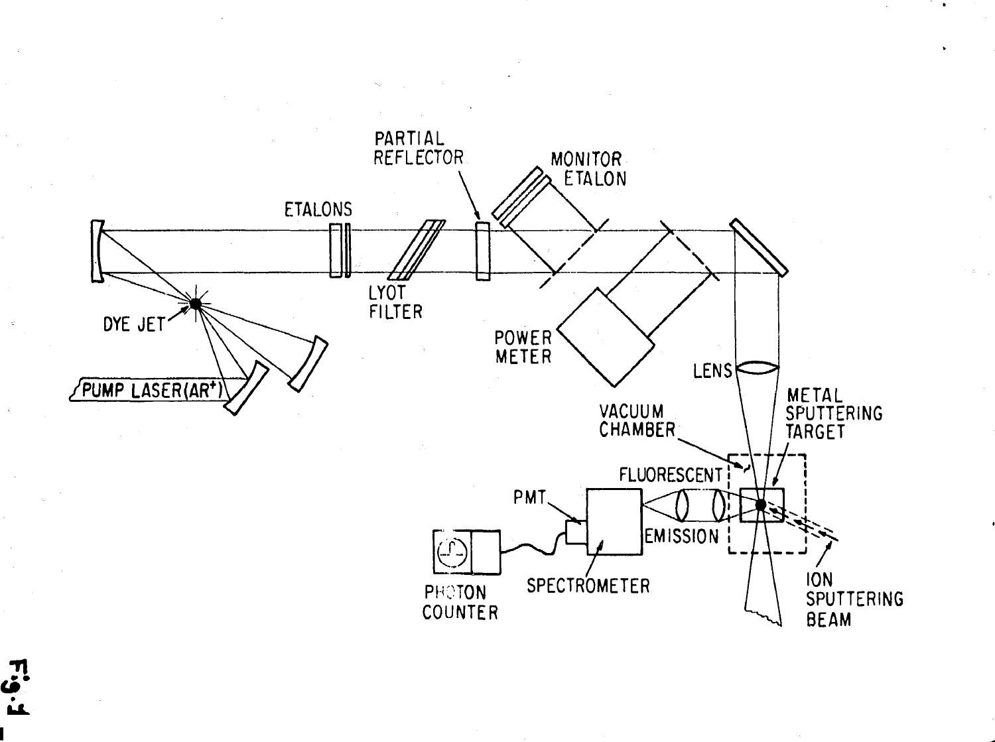

 $\frac{1}{2}$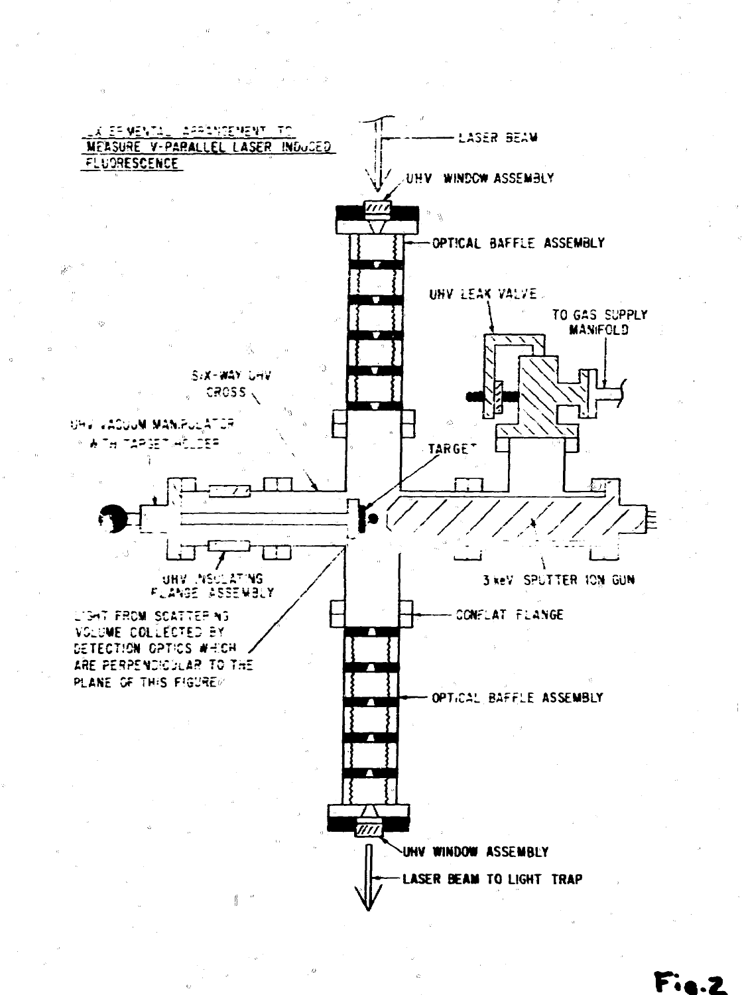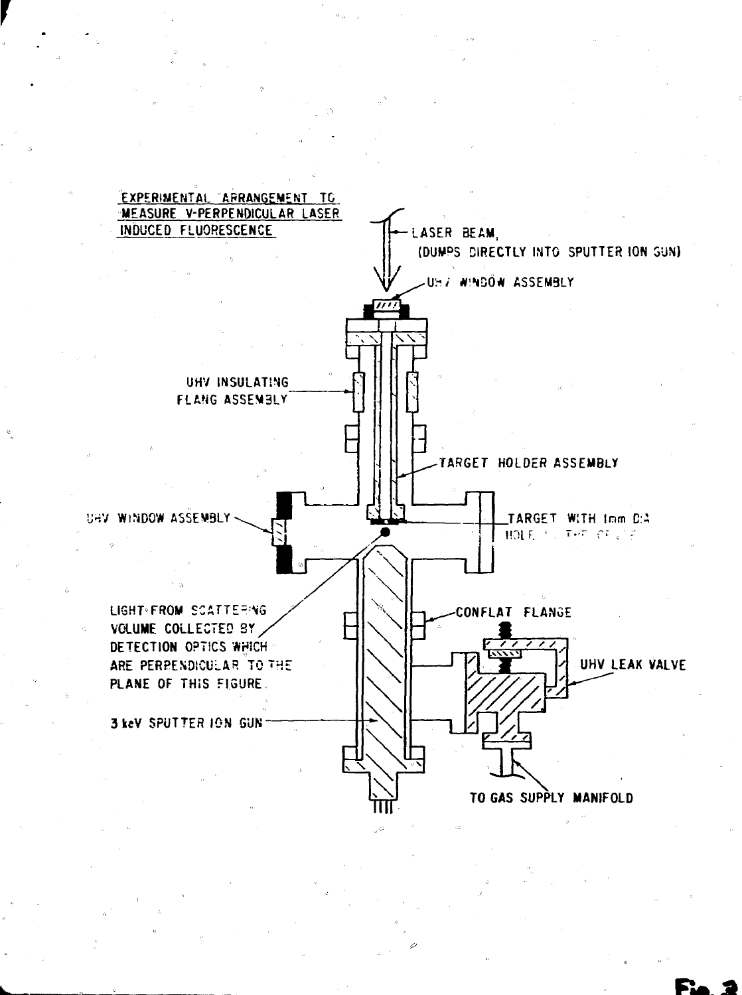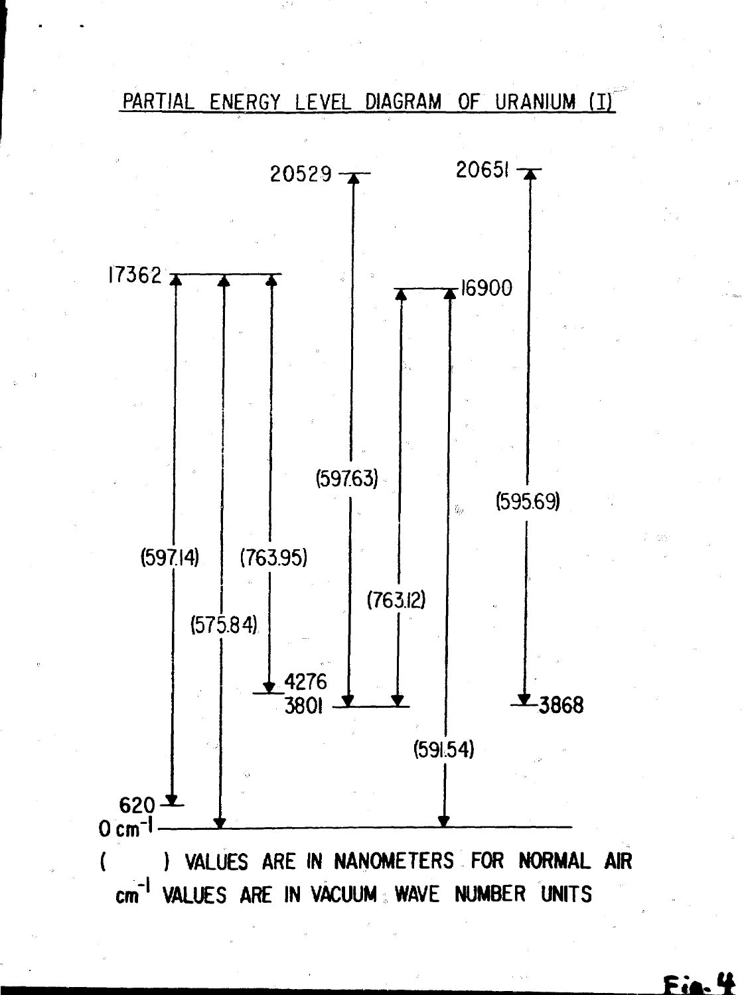PARTIAL ENERGY LEVEL DIAGRAM OF URANIUM (I)



# Fi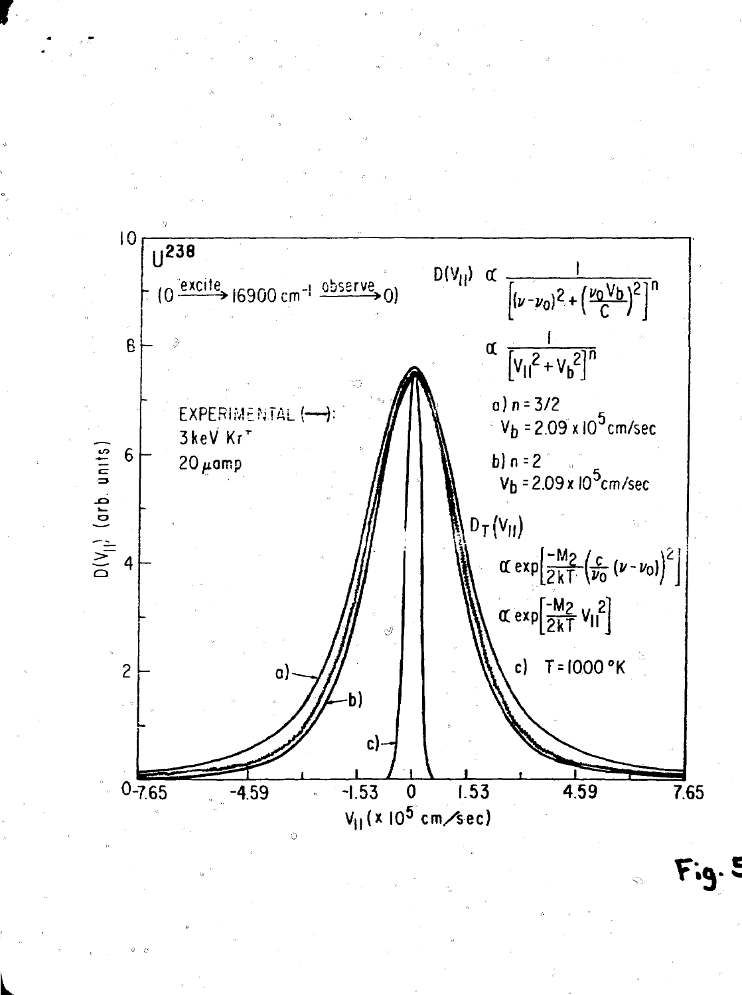

Fig. 5